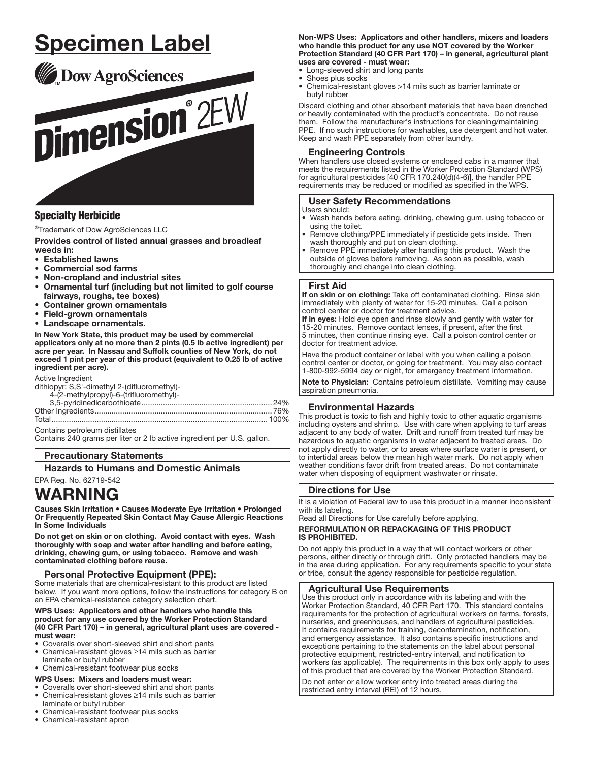# Specimen Label



# Specialty Herbicide

®Trademark of Dow AgroSciences LLC

Provides control of listed annual grasses and broadleaf weeds in:

- Established lawns
- Commercial sod farms
- Non-cropland and industrial sites
- Ornamental turf (including but not limited to golf course fairways, roughs, tee boxes)
- Container grown ornamentals
- Field-grown ornamentals
- Landscape ornamentals. I

In New York State, this product may be used by commercial applicators only at no more than 2 pints (0.5 lb active ingredient) per acre per year. In Nassau and Suffolk counties of New York, do not exceed 1 pint per year of this product (equivalent to 0.25 lb of active ingredient per acre).

Active Ingredient dithiopyr: S,S'-dimethyl 2-(difluoromethyl)-

| $\frac{1}{2}$                           |  |
|-----------------------------------------|--|
| 4-(2-methylpropyl)-6-(trifluoromethyl)- |  |
|                                         |  |
|                                         |  |
|                                         |  |
| Contains petroleum distillates          |  |

Contains 240 grams per liter or 2 lb active ingredient per U.S. gallon.

### Precautionary Statements

### Hazards to Humans and Domestic Animals

EPA Reg. No. 62719-542

# WARNING

Causes Skin Irritation • Causes Moderate Eye Irritation • Prolonged Or Frequently Repeated Skin Contact May Cause Allergic Reactions In Some Individuals

Do not get on skin or on clothing. Avoid contact with eyes. Wash thoroughly with soap and water after handling and before eating, drinking, chewing gum, or using tobacco. Remove and wash contaminated clothing before reuse.

# Personal Protective Equipment (PPE):

Some materials that are chemical-resistant to this product are listed below. If you want more options, follow the instructions for category B on an EPA chemical-resistance category selection chart.

#### WPS Uses: Applicators and other handlers who handle this product for any use covered by the Worker Protection Standard (40 CFR Part 170) – in general, agricultural plant uses are covered must wear:

- Coveralls over short-sleeved shirt and short pants<br>• Chemical-resistant gloves >14 mils such as barrier
- Chemical-resistant gloves ≥14 mils such as barrier laminate or butyl rubber

# • Chemical-resistant footwear plus socks

- WPS Uses: Mixers and loaders must wear:
- Coveralls over short-sleeved shirt and short pants
- Chemical-resistant gloves ≥14 mils such as barrier laminate or butyl rubber
- Chemical-resistant footwear plus socks
- Chemical-resistant apron

Non-WPS Uses: Applicators and other handlers, mixers and loaders who handle this product for any use NOT covered by the Worker Protection Standard (40 CFR Part 170) – in general, agricultural plant uses are covered - must wear:

- Long-sleeved shirt and long pants
- Shoes plus socks
- Chemical-resistant gloves >14 mils such as barrier laminate or butyl rubber

Discard clothing and other absorbent materials that have been drenched or heavily contaminated with the product's concentrate. Do not reuse them. Follow the manufacturer's instructions for cleaning/maintaining PPE. If no such instructions for washables, use detergent and hot water. Keep and wash PPE separately from other laundry.

# Engineering Controls

When handlers use closed systems or enclosed cabs in a manner that meets the requirements listed in the Worker Protection Standard (WPS) for agricultural pesticides [40 CFR 170.240(d)(4-6)], the handler PPE requirements may be reduced or modified as specified in the WPS.

### User Safety Recommendations

#### Users should:

- Wash hands before eating, drinking, chewing gum, using tobacco or using the toilet.
- Remove clothing/PPE immediately if pesticide gets inside. Then wash thoroughly and put on clean clothing.
- Remove PPE immediately after handling this product. Wash the outside of gloves before removing. As soon as possible, wash thoroughly and change into clean clothing.

### First Aid

ŗ

ļ

If on skin or on clothing: Take off contaminated clothing. Rinse skin immediately with plenty of water for 15-20 minutes. Call a poison control center or doctor for treatment advice.

If in eyes: Hold eye open and rinse slowly and gently with water for 15-20 minutes. Remove contact lenses, if present, after the first 5 minutes, then continue rinsing eye. Call a poison control center or doctor for treatment advice.

Have the product container or label with you when calling a poison control center or doctor, or going for treatment. You may also contact 1-800-992-5994 day or night, for emergency treatment information.

Note to Physician: Contains petroleum distillate. Vomiting may cause aspiration pneumonia.

# Environmental Hazards

This product is toxic to fish and highly toxic to other aquatic organisms including oysters and shrimp. Use with care when applying to turf areas adjacent to any body of water. Drift and runoff from treated turf may be hazardous to aquatic organisms in water adjacent to treated areas. Do not apply directly to water, or to areas where surface water is present, or to intertidal areas below the mean high water mark. Do not apply when weather conditions favor drift from treated areas. Do not contaminate water when disposing of equipment washwater or rinsate.

# Directions for Use

It is a violation of Federal law to use this product in a manner inconsistent with its labeling.

Read all Directions for Use carefully before applying.

# REFORMULATION OR REPACKAGING OF THIS PRODUCT IS PROHIBITED.

Do not apply this product in a way that will contact workers or other persons, either directly or through drift. Only protected handlers may be in the area during application. For any requirements specific to your state or tribe, consult the agency responsible for pesticide regulation.

### Agricultural Use Requirements

Use this product only in accordance with its labeling and with the Worker Protection Standard, 40 CFR Part 170. This standard contains requirements for the protection of agricultural workers on farms, forests, nurseries, and greenhouses, and handlers of agricultural pesticides. It contains requirements for training, decontamination, notification, and emergency assistance. It also contains specific instructions and exceptions pertaining to the statements on the label about personal protective equipment, restricted-entry interval, and notification to workers (as applicable). The requirements in this box only apply to uses of this product that are covered by the Worker Protection Standard.

Do not enter or allow worker entry into treated areas during the restricted entry interval (REI) of 12 hours.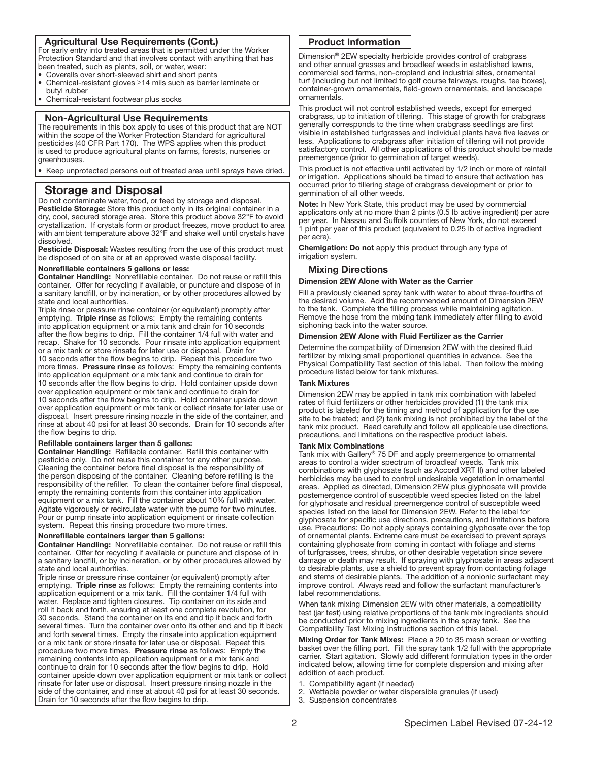# Agricultural Use Requirements (Cont.)

For early entry into treated areas that is permitted under the Worker Protection Standard and that involves contact with anything that has been treated, such as plants, soil, or water, wear:

- Coveralls over short-sleeved shirt and short pants
- Chemical-resistant gloves ≥14 mils such as barrier laminate or butyl rubber
- Chemical-resistant footwear plus socks

ŗ

֧֖֚֕֕֡

֚֡֬֕

#### Non-Agricultural Use Requirements

The requirements in this box apply to uses of this product that are NOT within the scope of the Worker Protection Standard for agricultural pesticides (40 CFR Part 170). The WPS applies when this product is used to produce agricultural plants on farms, forests, nurseries or greenhouses.

• Keep unprotected persons out of treated area until sprays have dried.

# Storage and Disposal

Do not contaminate water, food, or feed by storage and disposal. Pesticide Storage: Store this product only in its original container in a dry, cool, secured storage area. Store this product above 32°F to avoid crystallization. If crystals form or product freezes, move product to area with ambient temperature above 32°F and shake well until crystals have dissolved.

Pesticide Disposal: Wastes resulting from the use of this product must be disposed of on site or at an approved waste disposal facility.

#### Nonrefillable containers 5 gallons or less:

**Container Handling:** Nonrefillable container. Do not reuse or refill this container. Offer for recycling if available, or puncture and dispose of in a sanitary land fill, or by incineration, or by other procedures allowed by state and local authorities.

Triple rinse or pressure rinse container (or equivalent) promptly after emptying. Triple rinse as follows: Empty the remaining contents into application equipment or a mix tank and drain for 10 seconds after the fiow begins to drip. Fill the container 1/4 full with water and recap. Shake for 10 seconds. Pour rinsate into application equipment or a mix tank or store rinsate for later use or disposal. Drain for 10 seconds after the fiow begins to drip. Repeat this procedure two more times. Pressure rinse as follows: Empty the remaining contents into application equipment or a mix tank and continue to drain for 10 seconds after the fiow begins to drip. Hold container upside down over application equipment or mix tank and continue to drain for 10 seconds after the fiow begins to drip. Hold container upside down over application equipment or mix tank or collect rinsate for later use or disposal. Insert pressure rinsing nozzle in the side of the container, and rinse at about 40 psi for at least 30 seconds. Drain for 10 seconds after the fiow begins to drip.

# Refillable containers larger than 5 gallons:

Container Handling: Refillable container. Refill this container with pesticide only. Do not reuse this container for any other purpose. Cleaning the container before final disposal is the responsibility of the person disposing of the container. Cleaning before refilling is the responsibility of the refiller. To clean the container before final disposal, empty the remaining contents from this container into application equipment or a mix tank. Fill the container about 10% full with water. Agitate vigorously or recirculate water with the pump for two minutes. Pour or pump rinsate into application equipment or rinsate collection system. Repeat this rinsing procedure two more times.

#### Nonrefillable containers larger than 5 gallons:

Container Handling: Nonrefillable container. Do not reuse or refill this container. Offer for recycling if available or puncture and dispose of in a sanitary land fill, or by incineration, or by other procedures allowed by state and local authorities.

Triple rinse or pressure rinse container (or equivalent) promptly after emptying. Triple rinse as follows: Empty the remaining contents into application equipment or a mix tank. Fill the container 1/4 full with water. Replace and tighten closures. Tip container on its side and roll it back and forth, ensuring at least one complete revolution, for 30 seconds. Stand the container on its end and tip it back and forth several times. Turn the container over onto its other end and tip it back and forth several times. Empty the rinsate into application equipment or a mix tank or store rinsate for later use or disposal. Repeat this procedure two more times. Pressure rinse as follows: Empty the remaining contents into application equipment or a mix tank and continue to drain for 10 seconds after the fiow begins to drip. Hold container upside down over application equipment or mix tank or collect rinsate for later use or disposal. Insert pressure rinsing nozzle in the side of the container, and rinse at about 40 psi for at least 30 seconds. Drain for 10 seconds after the fiow begins to drip.

# Product Information

1 Dimension® 2EW specialty herbicide provides control of crabgrass and other annual grasses and broadleaf weeds in established lawns, commercial sod farms, non-cropland and industrial sites, ornamental turf (including but not limited to golf course fairways, roughs, tee boxes), container-grown ornamentals, field-grown ornamentals, and landscape ornamentals.

This product will not control established weeds, except for emerged crabgrass, up to initiation of tillering. This stage of growth for crabgrass generally corresponds to the time when crabgrass seedlings are first visible in established turfgrasses and individual plants have five leaves or less. Applications to crabgrass after initiation of tillering will not provide satisfactory control. All other applications of this product should be made preemergence (prior to germination of target weeds).

This product is not effective until activated by 1/2 inch or more of rainfall or irrigation. Applications should be timed to ensure that activation has occurred prior to tillering stage of crabgrass development or prior to germination of all other weeds.

Note: In New York State, this product may be used by commercial applicators only at no more than 2 pints (0.5 lb active ingredient) per acre per year. In Nassau and Suffolk counties of New York, do not exceed 1 pint per year of this product (equivalent to 0.25 lb of active ingredient per acre).

Chemigation: Do not apply this product through any type of irrigation system.

### Mixing Directions

# Dimension 2EW Alone with Water as the Carrier

Fill a previously cleaned spray tank with water to about three-fourths of the desired volume. Add the recommended amount of Dimension 2EW to the tank. Complete the filling process while maintaining agitation. Remove the hose from the mixing tank immediately after filling to avoid siphoning back into the water source.

# Dimension 2EW Alone with Fluid Fertilizer as the Carrier

Determine the compatibility of Dimension 2EW with the desired fiuid fertilizer by mixing small proportional quantities in advance. See the Physical Compatibility Test section of this label. Then follow the mixing procedure listed below for tank mixtures.

#### Tank Mixtures

Dimension 2EW may be applied in tank mix combination with labeled rates of fiuid fertilizers or other herbicides provided (1) the tank mix product is labeled for the timing and method of application for the use site to be treated; and (2) tank mixing is not prohibited by the label of the tank mix product. Read carefully and follow all applicable use directions, precautions, and limitations on the respective product labels.

#### Tank Mix Combinations

Tank mix with Gallery® 75 DF and apply preemergence to ornamental areas to control a wider spectrum of broadleaf weeds. Tank mix combinations with glyphosate (such as Accord XRT II) and other labeled herbicides may be used to control undesirable vegetation in ornamental areas. Applied as directed, Dimension 2EW plus glyphosate will provide postemergence control of susceptible weed species listed on the label for glyphosate and residual preemergence control of susceptible weed species listed on the label for Dimension 2EW. Refer to the label for glyphosate for specific use directions, precautions, and limitations before use. Precautions: Do not apply sprays containing glyphosate over the top of ornamental plants. Extreme care must be exercised to prevent sprays containing glyphosate from coming in contact with foliage and stems of turfgrasses, trees, shrubs, or other desirable vegetation since severe damage or death may result. If spraying with glyphosate in areas adjacent to desirable plants, use a shield to prevent spray from contacting foliage and stems of desirable plants. The addition of a nonionic surfactant may improve control. Always read and follow the surfactant manufacturer's label recommendations.

When tank mixing Dimension 2EW with other materials, a compatibility test (jar test) using relative proportions of the tank mix ingredients should be conducted prior to mixing ingredients in the spray tank. See the Compatibility Test Mixing Instructions section of this label.

Mixing Order for Tank Mixes: Place a 20 to 35 mesh screen or wetting basket over the filling port. Fill the spray tank 1/2 full with the appropriate carrier. Start agitation. Slowly add different formulation types in the order indicated below, allowing time for complete dispersion and mixing after addition of each product.

- 1. Compatibility agent (if needed)
- 2. Wettable powder or water dispersible granules (if used)
- 3. Suspension concentrates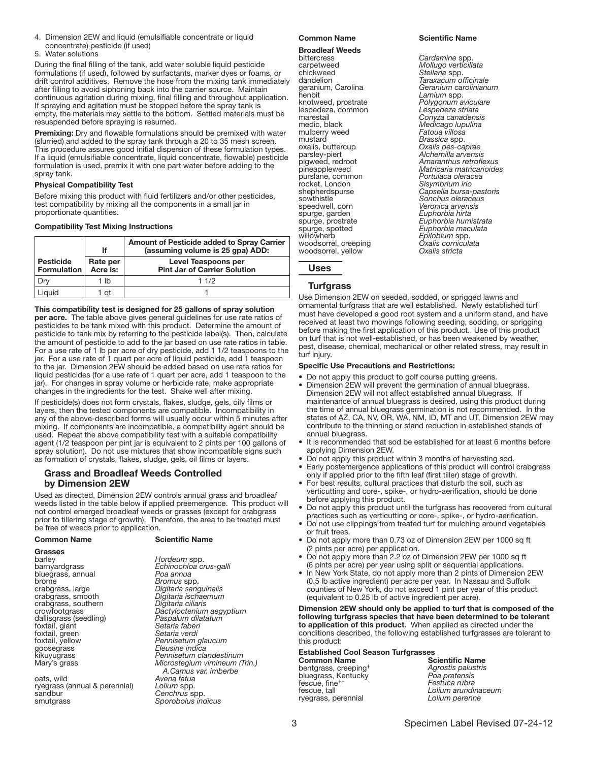- 4. Dimension 2EW and liquid (emulsifiable concentrate or liquid concentrate) pesticide (if used)
- 5. Water solutions

During the final filling of the tank, add water soluble liquid pesticide formulations (if used), followed by surfactants, marker dyes or foams, or drift control additives. Remove the hose from the mixing tank immediately after fllling to avoid siphoning back into the carrier source. Maintain continuous agitation during mixing, final filling and throughout application. If spraying and agitation must be stopped before the spray tank is empty, the materials may settle to the bottom. Settled materials must be resuspended before spraying is resumed.

Premixing: Dry and flowable formulations should be premixed with water (slurried) and added to the spray tank through a 20 to 35 mesh screen. This procedure assures good initial dispersion of these formulation types. If a liquid (emulsifiable concentrate, liquid concentrate, flowable) pesticide formulation is used, premix it with one part water before adding to the spray tank.

# Physical Compatibility Test

Before mixing this product with fluid fertilizers and/or other pesticides, test compatibility by mixing all the components in a small jar in proportionate quantities.

### Compatibility Test Mixing Instructions

|                                        | lf                   | Amount of Pesticide added to Spray Carrier<br>(assuming volume is 25 gpa) ADD: |
|----------------------------------------|----------------------|--------------------------------------------------------------------------------|
| <b>Pesticide</b><br><b>Formulation</b> | Rate per<br>Acre is: | Level Teaspoons per<br><b>Pint Jar of Carrier Solution</b>                     |
|                                        | 1 lb                 | 11/2                                                                           |
| Liauid                                 | 1 at                 |                                                                                |

This compatibility test is designed for 25 gallons of spray solution per acre. The table above gives general guidelines for use rate ratios of pesticides to be tank mixed with this product. Determine the amount of pesticide to tank mix by referring to the pesticide label(s). Then, calculate the amount of pesticide to add to the jar based on use rate ratios in table. For a use rate of 1 lb per acre of dry pesticide, add 1 1/2 teaspoons to the jar. For a use rate of 1 quart per acre of liquid pesticide, add 1 teaspoon to the jar. Dimension 2EW should be added based on use rate ratios for liquid pesticides (for a use rate of 1 quart per acre, add 1 teaspoon to the jar). For changes in spray volume or herbicide rate, make appropriate changes in the ingredients for the test. Shake well after mixing.

If pesticide(s) does not form crystals, flakes, sludge, gels, oily films or layers, then the tested components are compatible. Incompatibility in any of the above-described forms will usually occur within 5 minutes after mixing. If components are incompatible, a compatibility agent should be used. Repeat the above compatibility test with a suitable compatibility agent (1/2 teaspoon per pint jar is equivalent to 2 pints per 100 gallons of spray solution). Do not use mixtures that show incompatible signs such as formation of crystals, flakes, sludge, gels, oil films or layers.

# Grass and Broadleaf Weeds Controlled by Dimension 2EW

Used as directed, Dimension 2EW controls annual grass and broadleaf weeds listed in the table below if applied preemergence. This product will not control emerged broadleaf weeds or grasses (except for crabgrass prior to tillering stage of growth). Therefore, the area to be treated must be free of weeds prior to application.

| Grasses                |                       |
|------------------------|-----------------------|
| barley                 | Hordeum spp.          |
| barnyardgrass          | Echinochloa crus-gal  |
| bluegrass, annual      | Poa annua             |
| brome                  | Bromus spp.           |
| crabgrass, large       | Digitaria sanguinalis |
| crabgrass, smooth      | Digitaria ischaemum   |
| crabgrass, southern    | Digitaria ciliaris    |
| crowfootgrass          | Dactyloctenium aegy   |
| dallisgrass (seedling) | Paspalum dilatatum    |
| foxtail, giant         | Setaria faberi        |
| foxtail, green         | Setaria verdi         |
| foxtail, yellow        | Pennisetum glaucum    |
| goosegrass             | Eleusine indica       |
| kikuyugrass            | Pennisetum clandest   |
| Mary's grass           | Microstegium viminei  |
|                        | A Comunication        |

oats, wild *Avena fatua* ryegrass (annual & perennial)<br>sandbur sandbur *Cenchrus* spp.<br>smutgrass and *Sporobolus in* 

### Common Name Scientific Name

Hordeum spp. barnyardgrass *Echinochloa crus-galli* Poa annua **Bromus** spp. crabgrass, large *Digitaria sanguinalis* crabgrass, smooth *Digitaria ischaemum* crabgrass, southern *Digitaria ciliaris* crowfootgrass *Dactyloctenium aegyptium* dallisgrass (seedling) *Paspalum dilatatum* Setaria faberi Setaria verdi kikuyugrass *Pennisetum clandestinum* Microstegium vimineum (Trin.) *A.Camus var. imberbe* Sporobolus *indicus* 

#### Common Name Scientific Name

# **Broadleaf Weeds**<br>bittercress

bittercress *Cardamine* spp. carpetweed *Mollugo verticillata* chickweed *Stellaria* spp. knotweed, prostrate *Polygonum aviculare* lespedeza, common<br>marestail marestail *Conyza canadensis* mulberry weed<br>mustard mustard *Brassica* spp. oxalis, buttercup<br>
parsley-piert *Dxalis pes-caprae*<br>
pigweed, redroot *Amaranthus retrof* rocket, London<br>shepherdspurse speedwell, corn *Veronica arvens*<br>spurge, garden *Euphorbia hirta* spurge, garden<br>spurge, prostrate spurge, spotted *Euphorbia maculata* woodsorrel, creeping *Oxalis cornic*u<br>woodsorrel, yellow *Oxalis stricta* woodsorrel, yellow *Oxalis stricta*

Taraxacum officinale<br>Geranium carolinianum geranium, Carolina *Geranium carolinianum* henbit *Lamium* spp. Medicago lupulina<br>Fatoua villosa parsley-piert *Alchemilla arvensis* pigweed, redroot *Amaranthus retroflexus*<br>pineappleweed *Matricaria matricarioide* pineappleweed *Matricaria matricarioides* Portulaca oleracea<br>Sisvmbrium *irio* shepherdspurse *Capsella bursa-pastoris* Sonchus oleraceus<br>Veronica arvensis spurge, prostrate *Euphorbia humistrata* Epilobium spp.<br>Oxalis corniculata

# Turfgrass

Uses

j

Use Dimension 2EW on seeded, sodded, or sprigged lawns and ornamental turfgrass that are well established. Newly established turf must have developed a good root system and a uniform stand, and have received at least two mowings following seeding, sodding, or sprigging before making the first application of this product. Use of this product on turf that is not well-established, or has been weakened by weather, pest, disease, chemical, mechanical or other related stress, may result in turf injury.

# Specific Use Precautions and Restrictions:

- Do not apply this product to golf course putting greens.
- Dimension 2EW will prevent the germination of annual bluegrass. Dimension 2EW will not affect established annual bluegrass. If maintenance of annual bluegrass is desired, using this product during the time of annual bluegrass germination is not recommended. In the states of AZ, CA, NV, OR, WA, NM, ID, MT and UT, Dimension 2EW may contribute to the thinning or stand reduction in established stands of annual bluegrass.
- It is recommended that sod be established for at least 6 months before applying Dimension 2EW.
- Do not apply this product within 3 months of harvesting sod.
- Early postemergence applications of this product will control crabgrass only if applied prior to the fifth leaf (first tiller) stage of growth.
- For best results, cultural practices that disturb the soil, such as verticutting and core-, spike-, or hydro-aerification, should be done before applying this product.
- Do not apply this product until the turfgrass has recovered from cultural practices such as verticutting or core-, spike-, or hydro-aeriflcation.
- Do not use clippings from treated turf for mulching around vegetables or fruit trees.
- Do not apply more than 0.73 oz of Dimension 2EW per 1000 sq ft (2 pints per acre) per application.
- Do not apply more than 2.2 oz of Dimension 2EW per 1000 sq ft (6 pints per acre) per year using split or sequential applications.
- In New York State, do not apply more than 2 pints of Dimension 2EW (0.5 lb active ingredient) per acre per year. In Nassau and Suffolk counties of New York, do not exceed 1 pint per year of this product (equivalent to 0.25 lb of active ingredient per acre).

Dimension 2EW should only be applied to turf that is composed of the following turfgrass species that have been determined to be tolerant to application of this product. When applied as directed under the conditions described, the following established turfgrasses are tolerant to this product:

# Established Cool Season Turfgrasses

bentgrass, creeping† *Agrostis palustris* bluegrass, Kentucky *Poa pratensis* fescue, flne†† *Festuca rubra* ryegrass, perennial *Lolium perenne*

Scientific Name<br>Agrostis palustris Lolium arundinaceum<br>Lolium perenne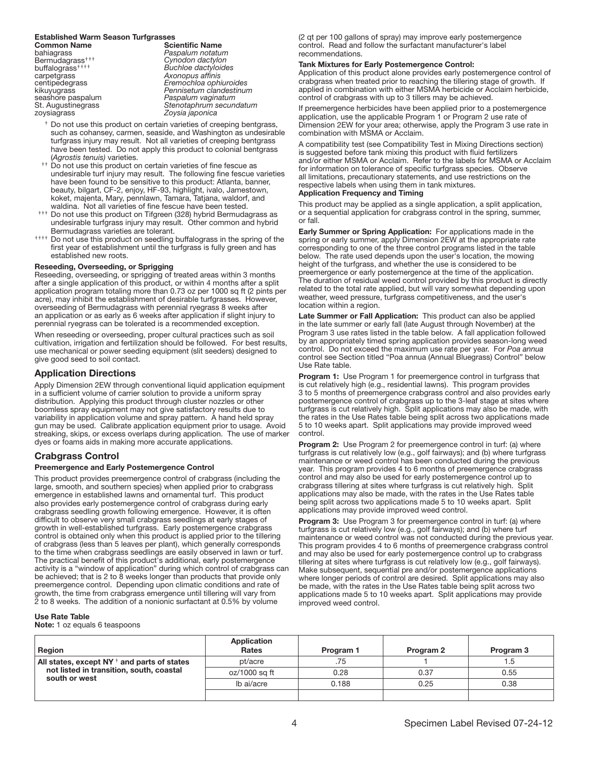# **Established Warm Season Turfgrasses<br>Common Name**

Common Name Scientific Name bahiagrass *Paspalum notatum*  Bermudagrass††† *Cynodon dactylon* buffalograss†††† *Buchloe dactyloides* carpetgrass *Axonopus afflnis* seashore paspalum *Paspalum vaginatum* zoysiagrass

centipedegrass *Eremochloa ophiuroides* kikuyugrass *Pennisetum clandestinum* Stenotaphrum secundatum zoysiagrass *Zoysia japonica*

- <sup>†</sup> Do not use this product on certain varieties of creeping bentgrass, such as cohansey, carmen, seaside, and Washington as undesirable turfgrass injury may result. Not all varieties of creeping bentgrass have been tested. Do not apply this product to colonial bentgrass (*Agrostis tenuis)* varieties.
- <sup>††</sup> Do not use this product on certain varieties of fine fescue as undesirable turf injury may result. The following fine fescue varieties have been found to be sensitive to this product: Atlanta, banner, beauty, bilgart, CF-2, enjoy, HF-93, highlight, ivalo, Jamestown, koket, majenta, Mary, pennlawn, Tamara, Tatjana, waldorf, and waldina. Not all varieties of fine fescue have been tested.
- †††† Do not use this product on Tifgreen (328) hybrid Bermudagrass as undesirable turfgrass injury may result. Other common and hybrid Bermudagrass varieties are tolerant.
- †††† Do not use this product on seedling buffalograss in the spring of the first year of establishment until the turfgrass is fully green and has established new roots.

#### Reseeding, Overseeding, or Sprigging

Reseeding, overseeding, or sprigging of treated areas within 3 months after a single application of this product, or within 4 months after a split application program totaling more than 0.73 oz per 1000 sq ft (2 pints per acre), may inhibit the establishment of desirable turfgrasses. However, overseeding of Bermudagrass with perennial ryegrass 8 weeks after an application or as early as 6 weeks after application if slight injury to perennial ryegrass can be tolerated is a recommended exception.

When reseeding or overseeding, proper cultural practices such as soil cultivation, irrigation and fertilization should be followed. For best results, use mechanical or power seeding equipment (slit seeders) designed to give good seed to soil contact.

# Application Directions

Apply Dimension 2EW through conventional liquid application equipment in a sufflcient volume of carrier solution to provide a uniform spray distribution. Applying this product through cluster nozzles or other boomless spray equipment may not give satisfactory results due to variability in application volume and spray pattern. A hand held spray gun may be used. Calibrate application equipment prior to usage. Avoid streaking, skips, or excess overlaps during application. The use of marker dyes or foams aids in making more accurate applications.

# Crabgrass Control

# Preemergence and Early Postemergence Control

This product provides preemergence control of crabgrass (including the large, smooth, and southern species) when applied prior to crabgrass emergence in established lawns and ornamental turf. This product also provides early postemergence control of crabgrass during early crabgrass seedling growth following emergence. However, it is often difficult to observe very small crabgrass seedlings at early stages of growth in well-established turfgrass. Early postemergence crabgrass control is obtained only when this product is applied prior to the tillering of crabgrass (less than 5 leaves per plant), which generally corresponds to the time when crabgrass seedlings are easily observed in lawn or turf. The practical benefit of this product's additional, early postemergence activity is a "window of application" during which control of crabgrass can be achieved; that is 2 to 8 weeks longer than products that provide only preemergence control. Depending upon climatic conditions and rate of growth, the time from crabgrass emergence until tillering will vary from 2 to 8 weeks. The addition of a nonionic surfactant at 0.5% by volume

#### Use Rate Table

**Note:** 1 oz equals 6 teaspoons

(2 qt per 100 gallons of spray) may improve early postemergence control. Read and follow the surfactant manufacturer's label recommendations.

#### Tank Mixtures for Early Postemergence Control:

Application of this product alone provides early postemergence control of crabgrass when treated prior to reaching the tillering stage of growth. If applied in combination with either MSMA herbicide or Acclaim herbicide, control of crabgrass with up to 3 tillers may be achieved.

If preemergence herbicides have been applied prior to a postemergence application, use the applicable Program 1 or Program 2 use rate of Dimension 2EW for your area; otherwise, apply the Program 3 use rate in combination with MSMA or Acclaim.

A compatibility test (see Compatibility Test in Mixing Directions section) is suggested before tank mixing this product with fluid fertilizers and/or either MSMA or Acclaim. Refer to the labels for MSMA or Acclaim for information on tolerance of specific turfgrass species. Observe all limitations, precautionary statements, and use restrictions on the respective labels when using them in tank mixtures.

### Application Frequency and Timing

This product may be applied as a single application, a split application, or a sequential application for crabgrass control in the spring, summer, or fall.

Early Summer or Spring Application: For applications made in the spring or early summer, apply Dimension 2EW at the appropriate rate corresponding to one of the three control programs listed in the table below. The rate used depends upon the user's location, the mowing height of the turfgrass, and whether the use is considered to be preemergence or early postemergence at the time of the application. The duration of residual weed control provided by this product is directly related to the total rate applied, but will vary somewhat depending upon weather, weed pressure, turfgrass competitiveness, and the user's location within a region.

Late Summer or Fall Application: This product can also be applied in the late summer or early fall (late August through November) at the Program 3 use rates listed in the table below. A fall application followed by an appropriately timed spring application provides season-long weed control. Do not exceed the maximum use rate per year. For *Poa annua* control see Section titled "Poa annua (Annual Bluegrass) Control" below Use Rate table.

**Program 1:** Use Program 1 for preemergence control in turfgrass that is cut relatively high (e.g., residential lawns). This program provides 3 to 5 months of preemergence crabgrass control and also provides early postemergence control of crabgrass up to the 3-leaf stage at sites where turfgrass is cut relatively high. Split applications may also be made, with the rates in the Use Rates table being split across two applications made 5 to 10 weeks apart. Split applications may provide improved weed control.

**Program 2:** Use Program 2 for preemergence control in turf: (a) where turfgrass is cut relatively low (e.g., golf fairways); and (b) where turfgrass maintenance or weed control has been conducted during the previous year. This program provides 4 to 6 months of preemergence crabgrass control and may also be used for early postemergence control up to crabgrass tillering at sites where turfgrass is cut relatively high. Split applications may also be made, with the rates in the Use Rates table being split across two applications made 5 to 10 weeks apart. Split applications may provide improved weed control.

**Program 3:** Use Program 3 for preemergence control in turf: (a) where turfgrass is cut relatively low (e.g., golf fairways); and (b) where turf maintenance or weed control was not conducted during the previous year. This program provides 4 to 6 months of preemergence crabgrass control and may also be used for early postemergence control up to crabgrass tillering at sites where turfgrass is cut relatively low (e.g., golf fairways). Make subsequent, sequential pre and/or postemergence applications where longer periods of control are desired. Split applications may also be made, with the rates in the Use Rates table being split across two applications made 5 to 10 weeks apart. Split applications may provide improved weed control.

| Region                                                                                                           | Application<br>Rates | Program 1 | Program 2 | Program 3 |
|------------------------------------------------------------------------------------------------------------------|----------------------|-----------|-----------|-----------|
| All states, except NY $\dagger$ and parts of states<br>not listed in transition, south, coastal<br>south or west | pt/acre              | .75       |           | 1.5       |
|                                                                                                                  | oz/1000 sg ft        | 0.28      | 0.37      | 0.55      |
|                                                                                                                  | lb ai/acre           | 0.188     | 0.25      | 0.38      |
|                                                                                                                  |                      |           |           |           |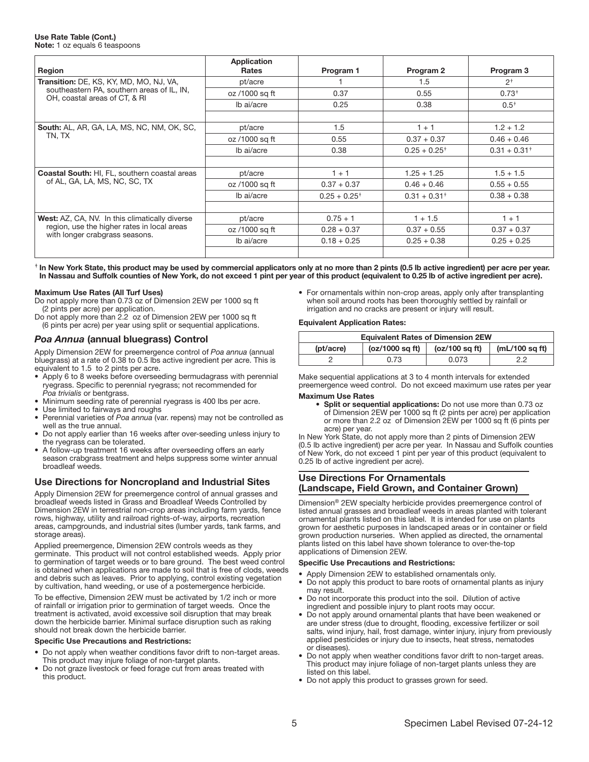#### Use Rate Table (Cont.) Note: 1 oz equals 6 teaspoons

| Region                                                                        | <b>Application</b><br><b>Rates</b> | Program 1       | Program 2       | Program 3       |
|-------------------------------------------------------------------------------|------------------------------------|-----------------|-----------------|-----------------|
| <b>Transition:</b> DE, KS, KY, MD, MO, NJ, VA,                                | pt/acre                            |                 | 1.5             | 2 <sup>†</sup>  |
| southeastern PA, southern areas of IL, IN,                                    | oz /1000 sq ft                     | 0.37            | 0.55            | $0.73^{+}$      |
| OH, coastal areas of CT, & RI                                                 | Ib ai/acre                         | 0.25            | 0.38            | $0.5^{+}$       |
|                                                                               |                                    |                 |                 |                 |
| <b>South:</b> AL, AR, GA, LA, MS, NC, NM, OK, SC,                             | pt/acre                            | 1.5             | $1 + 1$         | $1.2 + 1.2$     |
| TN, TX                                                                        | oz /1000 sq ft                     | 0.55            | $0.37 + 0.37$   | $0.46 + 0.46$   |
|                                                                               | Ib ai/acre                         | 0.38            | $0.25 + 0.25^+$ | $0.31 + 0.31^+$ |
|                                                                               |                                    |                 |                 |                 |
| <b>Coastal South: HI, FL, southern coastal areas</b>                          | pt/acre                            | $1 + 1$         | $1.25 + 1.25$   | $1.5 + 1.5$     |
| of AL, GA, LA, MS, NC, SC, TX                                                 | oz /1000 sq ft                     | $0.37 + 0.37$   | $0.46 + 0.46$   | $0.55 + 0.55$   |
|                                                                               | Ib ai/acre                         | $0.25 + 0.25^+$ | $0.31 + 0.31^+$ | $0.38 + 0.38$   |
|                                                                               |                                    |                 |                 |                 |
| <b>West:</b> AZ, CA, NV. In this climatically diverse                         | pt/acre                            | $0.75 + 1$      | $1 + 1.5$       | $1 + 1$         |
| region, use the higher rates in local areas<br>with longer crabgrass seasons. | oz /1000 sq ft                     | $0.28 + 0.37$   | $0.37 + 0.55$   | $0.37 + 0.37$   |
|                                                                               | Ib ai/acre                         | $0.18 + 0.25$   | $0.25 + 0.38$   | $0.25 + 0.25$   |
|                                                                               |                                    |                 |                 |                 |

**†** In New York State, this product may be used by commercial applicators only at no more than 2 pints (0.5 lb active ingredient) per acre per year. In Nassau and Suffolk counties of New York, do not exceed 1 pint per year of this product (equivalent to 0.25 lb of active ingredient per acre).

### Maximum Use Rates (All Turf Uses)

Do not apply more than 0.73 oz of Dimension 2EW per 1000 sq ft (2 pints per acre) per application.

Do not apply more than 2.2 oz of Dimension 2EW per 1000 sq ft (6 pints per acre) per year using split or sequential applications.

# *Poa Annua* (annual bluegrass) Control

Apply Dimension 2EW for preemergence control of *Poa annua* (annual bluegrass) at a rate of 0.38 to 0.5 lbs active ingredient per acre. This is equivalent to 1.5 to 2 pints per acre.

- Apply 6 to 8 weeks before overseeding bermudagrass with perennial ryegrass. Specific to perennial ryegrass; not recommended for **Poa trivialis or bentgrass.**
- Minimum seeding rate of perennial ryegrass is 400 lbs per acre.
- Use limited to fairways and roughs
- Perennial varieties of *Poa annua* (var. repens) may not be controlled as well as the true annual.
- Do not apply earlier than 16 weeks after over-seeding unless injury to the ryegrass can be tolerated.
- A follow-up treatment 16 weeks after overseeding offers an early season crabgrass treatment and helps suppress some winter annual broadleaf weeds.

# Use Directions for Noncropland and Industrial Sites

Apply Dimension 2EW for preemergence control of annual grasses and broadleaf weeds listed in Grass and Broadleaf Weeds Controlled by Dimension 2EW in terrestrial non-crop areas including farm yards, fence rows, highway, utility and railroad rights-of-way, airports, recreation areas, campgrounds, and industrial sites (lumber yards, tank farms, and storage areas).

Applied preemergence, Dimension 2EW controls weeds as they germinate. This product will not control established weeds. Apply prior to germination of target weeds or to bare ground. The best weed control is obtained when applications are made to soil that is free of clods, weeds and debris such as leaves. Prior to applying, control existing vegetation by cultivation, hand weeding, or use of a postemergence herbicide.

To be effective, Dimension 2EW must be activated by 1/2 inch or more of rainfall or irrigation prior to germination of target weeds. Once the treatment is activated, avoid excessive soil disruption that may break down the herbicide barrier. Minimal surface disruption such as raking should not break down the herbicide barrier.

# Specific Use Precautions and Restrictions:

- Do not apply when weather conditions favor drift to non-target areas. This product may injure foliage of non-target plants.
- Do not graze livestock or feed forage cut from areas treated with this product.

• For ornamentals within non-crop areas, apply only after transplanting when soil around roots has been thoroughly settled by rainfall or irrigation and no cracks are present or injury will result.

# Equivalent Application Rates:

| <b>Equivalent Rates of Dimension 2EW</b>                           |      |       |    |  |  |  |
|--------------------------------------------------------------------|------|-------|----|--|--|--|
| (oz/1000 sq ft)<br>$(mL/100$ sq ft)<br>(oz/100 sq ft)<br>(pt/acre) |      |       |    |  |  |  |
|                                                                    | 0.73 | 0.073 | っっ |  |  |  |
|                                                                    |      |       |    |  |  |  |

Make sequential applications at 3 to 4 month intervals for extended preemergence weed control. Do not exceed maximum use rates per year

#### Maximum Use Rates

• Split or sequential applications: Do not use more than 0.73 oz of Dimension 2EW per 1000 sq ft (2 pints per acre) per application or more than 2.2 oz of Dimension 2EW per 1000 sq ft (6 pints per acre) per year.

In New York State, do not apply more than 2 pints of Dimension 2EW (0.5 lb active ingredient) per acre per year. In Nassau and Suffolk counties of New York, do not exceed 1 pint per year of this product (equivalent to 0.25 lb of active ingredient per acre).

#### Use Directions For Ornamentals (Landscape, Field Grown, and Container Grown) ì

Dimension® 2EW specialty herbicide provides preemergence control of listed annual grasses and broadleaf weeds in areas planted with tolerant ornamental plants listed on this label. It is intended for use on plants grown for aesthetic purposes in landscaped areas or in container or field grown production nurseries. When applied as directed, the ornamental plants listed on this label have shown tolerance to over-the-top applications of Dimension 2EW.

# Specific Use Precautions and Restrictions:

- Apply Dimension 2EW to established ornamentals only.
- Do not apply this product to bare roots of ornamental plants as injury may result.
- Do not incorporate this product into the soil. Dilution of active ingredient and possible injury to plant roots may occur.
- Do not apply around ornamental plants that have been weakened or are under stress (due to drought, flooding, excessive fertilizer or soil salts, wind injury, hail, frost damage, winter injury, injury from previously applied pesticides or injury due to insects, heat stress, nematodes or diseases).
- Do not apply when weather conditions favor drift to non-target areas. This product may injure foliage of non-target plants unless they are listed on this label.
- Do not apply this product to grasses grown for seed.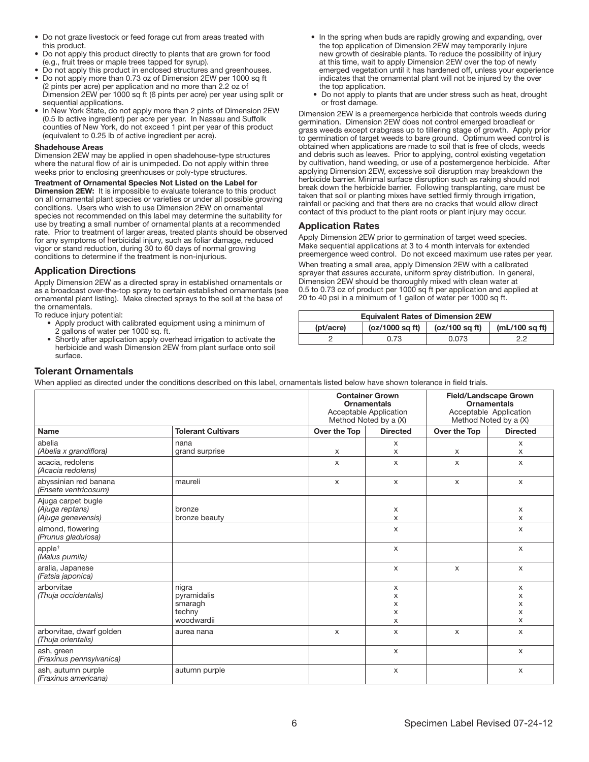- Do not graze livestock or feed forage cut from areas treated with this product.
- Do not apply this product directly to plants that are grown for food (e.g., fruit trees or maple trees tapped for syrup).
- Do not apply this product in enclosed structures and greenhouses.
- Do not apply more than 0.73 oz of Dimension 2EW per 1000 sq ft (2 pints per acre) per application and no more than 2.2 oz of Dimension 2EW per 1000 sq ft (6 pints per acre) per year using split or sequential applications.
- In New York State, do not apply more than 2 pints of Dimension 2EW (0.5 lb active ingredient) per acre per year. In Nassau and Suffolk counties of New York, do not exceed 1 pint per year of this product (equivalent to 0.25 lb of active ingredient per acre).

### Shadehouse Areas

Dimension 2EW may be applied in open shadehouse-type structures where the natural flow of air is unimpeded. Do not apply within three weeks prior to enclosing greenhouses or poly-type structures.

Treatment of Ornamental Species Not Listed on the Label for Dimension 2EW: It is impossible to evaluate tolerance to this product on all ornamental plant species or varieties or under all possible growing conditions. Users who wish to use Dimension 2EW on ornamental species not recommended on this label may determine the suitability for use by treating a small number of ornamental plants at a recommended rate. Prior to treatment of larger areas, treated plants should be observed for any symptoms of herbicidal injury, such as foliar damage, reduced vigor or stand reduction, during 30 to 60 days of normal growing conditions to determine if the treatment is non-injurious.

# Application Directions

Apply Dimension 2EW as a directed spray in established ornamentals or as a broadcast over-the-top spray to certain established ornamentals (see ornamental plant listing). Make directed sprays to the soil at the base of the ornamentals.

To reduce injury potential:

- Apply product with calibrated equipment using a minimum of 2 gallons of water per 1000 sq. ft.
- Shortly after application apply overhead irrigation to activate the herbicide and wash Dimension 2EW from plant surface onto soil surface.
- In the spring when buds are rapidly growing and expanding, over the top application of Dimension 2EW may temporarily injure new growth of desirable plants. To reduce the possibility of injury at this time, wait to apply Dimension 2EW over the top of newly emerged vegetation until it has hardened off, unless your experience indicates that the ornamental plant will not be injured by the over the top application.
- Do not apply to plants that are under stress such as heat, drought or frost damage.

Dimension 2EW is a preemergence herbicide that controls weeds during germination. Dimension 2EW does not control emerged broadleaf or grass weeds except crabgrass up to tillering stage of growth. Apply prior to germination of target weeds to bare ground. Optimum weed control is obtained when applications are made to soil that is free of clods, weeds and debris such as leaves. Prior to applying, control existing vegetation by cultivation, hand weeding, or use of a postemergence herbicide. After applying Dimension 2EW, excessive soil disruption may breakdown the herbicide barrier. Minimal surface disruption such as raking should not break down the herbicide barrier. Following transplanting, care must be taken that soil or planting mixes have settled firmly through irrigation, rainfall or packing and that there are no cracks that would allow direct contact of this product to the plant roots or plant injury may occur.

# Application Rates

Apply Dimension 2EW prior to germination of target weed species. Make sequential applications at 3 to 4 month intervals for extended preemergence weed control. Do not exceed maximum use rates per year.

When treating a small area, apply Dimension 2EW with a calibrated sprayer that assures accurate, uniform spray distribution. In general, Dimension 2EW should be thoroughly mixed with clean water at 0.5 to 0.73 oz of product per 1000 sq ft per application and applied at 20 to 40 psi in a minimum of 1 gallon of water per 1000 sq ft.

| <b>Equivalent Rates of Dimension 2EW</b>                           |      |       |    |  |  |  |
|--------------------------------------------------------------------|------|-------|----|--|--|--|
| (oz/1000 sq ft)<br>$(mL/100$ sq ft)<br>(oz/100 sq ft)<br>(pt/acre) |      |       |    |  |  |  |
|                                                                    | 0.73 | 0.073 | っっ |  |  |  |
|                                                                    |      |       |    |  |  |  |

# Tolerant Ornamentals

|                                                             |                           | <b>Container Grown</b><br><b>Ornamentals</b><br>Acceptable Application<br>Method Noted by a (X) |                           | <b>Field/Landscape Grown</b><br><b>Ornamentals</b><br>Acceptable Application<br>Method Noted by a (X) |                           |
|-------------------------------------------------------------|---------------------------|-------------------------------------------------------------------------------------------------|---------------------------|-------------------------------------------------------------------------------------------------------|---------------------------|
| <b>Name</b>                                                 | <b>Tolerant Cultivars</b> | Over the Top                                                                                    | <b>Directed</b>           | Over the Top                                                                                          | <b>Directed</b>           |
| abelia<br>(Abelia x grandiflora)                            | nana<br>grand surprise    | $\mathsf{x}$                                                                                    | $\mathsf{x}$<br>X         | X                                                                                                     | $\mathsf{x}$<br>X         |
| acacia, redolens<br>(Acacia redolens)                       |                           | $\mathsf{x}$                                                                                    | X                         | $\mathsf{x}$                                                                                          | X                         |
| abyssinian red banana<br>(Ensete ventricosum)               | maureli                   | $\times$                                                                                        | $\mathsf{x}$              | $\mathsf{x}$                                                                                          | $\mathsf{x}$              |
| Ajuga carpet bugle<br>(Ajuga reptans)<br>(Ajuga genevensis) | bronze<br>bronze beauty   |                                                                                                 | X<br>X                    |                                                                                                       | X<br>X                    |
| almond, flowering<br>(Prunus gladulosa)                     |                           |                                                                                                 | $\mathsf{x}$              |                                                                                                       | $\mathsf{x}$              |
| apple <sup>+</sup><br>(Malus pumila)                        |                           |                                                                                                 | $\mathsf{x}$              |                                                                                                       | $\mathsf{x}$              |
| aralia, Japanese<br>(Fatsia japonica)                       |                           |                                                                                                 | $\boldsymbol{\mathsf{x}}$ | $\mathsf{x}$                                                                                          | $\boldsymbol{\mathsf{x}}$ |
| arborvitae<br>(Thuja occidentalis)                          | nigra<br>pyramidalis      |                                                                                                 | X                         |                                                                                                       | х                         |
|                                                             | smaragh                   |                                                                                                 | x<br>x                    |                                                                                                       | x<br>x                    |
|                                                             | techny                    |                                                                                                 | X                         |                                                                                                       | X                         |
|                                                             | woodwardii                |                                                                                                 | X                         |                                                                                                       | X                         |
| arborvitae, dwarf golden<br>(Thuja orientalis)              | aurea nana                | X                                                                                               | X                         | X                                                                                                     | X                         |
| ash, green<br>(Fraxinus pennsylvanica)                      |                           |                                                                                                 | X                         |                                                                                                       | X                         |
| ash, autumn purple<br>(Fraxinus americana)                  | autumn purple             |                                                                                                 | х                         |                                                                                                       | X                         |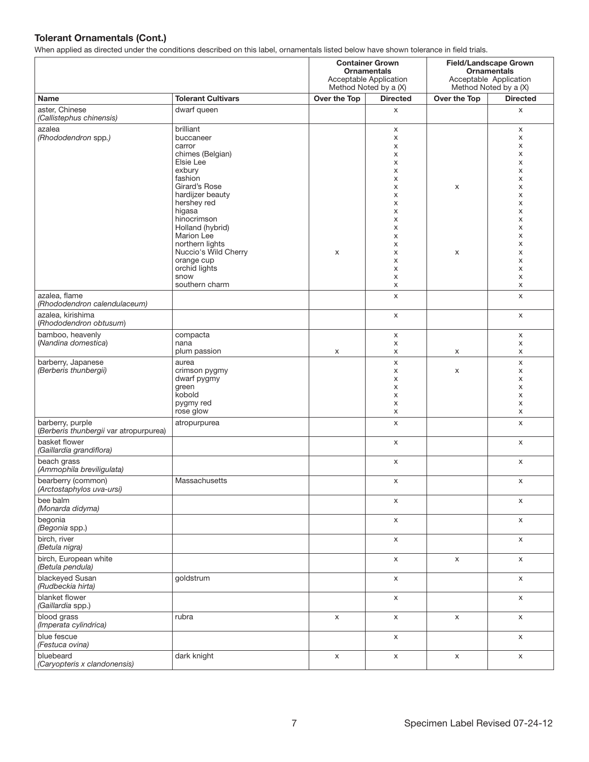| . .                                                        | <b>Container Grown</b><br><b>Ornamentals</b><br>Acceptable Application<br>Method Noted by a (X)                                                                                               |              |                                                          |              | <b>Field/Landscape Grown</b><br><b>Ornamentals</b><br>Acceptable Application<br>Method Noted by a (X) |  |
|------------------------------------------------------------|-----------------------------------------------------------------------------------------------------------------------------------------------------------------------------------------------|--------------|----------------------------------------------------------|--------------|-------------------------------------------------------------------------------------------------------|--|
| Name                                                       | <b>Tolerant Cultivars</b>                                                                                                                                                                     | Over the Top | <b>Directed</b>                                          | Over the Top | <b>Directed</b>                                                                                       |  |
| aster, Chinese<br>(Callistephus chinensis)                 | dwarf queen                                                                                                                                                                                   |              | X                                                        |              | X                                                                                                     |  |
| azalea<br>(Rhododendron spp.)                              | brilliant<br>buccaneer<br>carror<br>chimes (Belgian)<br>Elsie Lee<br>exbury<br>fashion                                                                                                        |              | X<br>х<br>х<br>X<br>х<br>х<br>X                          |              | X<br>X<br>Х<br>X<br>X<br>X<br>X                                                                       |  |
|                                                            | Girard's Rose<br>hardijzer beauty<br>hershey red<br>higasa<br>hinocrimson<br>Holland (hybrid)<br>Marion Lee<br>northern lights<br>Nuccio's Wild Cherry<br>orange cup<br>orchid lights<br>snow | X            | X<br>X<br>X<br>х<br>х<br>X<br>х<br>х<br>X<br>х<br>х<br>X | X<br>X       | X<br>X<br>X<br>X<br>X<br>X<br>X<br>Х<br>X<br>X<br>X<br>X                                              |  |
| azalea, flame                                              | southern charm                                                                                                                                                                                |              | X<br>X                                                   |              | X<br>X                                                                                                |  |
| (Rhododendron calendulaceum)                               |                                                                                                                                                                                               |              |                                                          |              |                                                                                                       |  |
| azalea, kirishima<br>(Rhododendron obtusum)                |                                                                                                                                                                                               |              | X                                                        |              | X                                                                                                     |  |
| bamboo, heavenly<br>(Nandina domestica)                    | compacta<br>nana<br>plum passion                                                                                                                                                              | X            | x<br>X<br>х                                              | x            | X<br>X<br>X                                                                                           |  |
| barberry, Japanese<br>(Berberis thunbergii)                | aurea<br>crimson pygmy<br>dwarf pygmy<br>green<br>kobold<br>pygmy red<br>rose glow                                                                                                            |              | X<br>X<br>X<br>х<br>X<br>X<br>x                          | X            | X<br>X<br>X<br>X<br>X<br>X<br>X                                                                       |  |
| barberry, purple<br>(Berberis thunbergii var atropurpurea) | atropurpurea                                                                                                                                                                                  |              | X                                                        |              | $\mathsf{x}$                                                                                          |  |
| basket flower<br>(Gaillardia grandiflora)                  |                                                                                                                                                                                               |              | X                                                        |              | X                                                                                                     |  |
| beach grass<br>(Ammophila breviligulata)                   |                                                                                                                                                                                               |              | X                                                        |              | X                                                                                                     |  |
| bearberry (common)<br>(Arctostaphylos uva-ursi)            | Massachusetts                                                                                                                                                                                 |              | X                                                        |              | X                                                                                                     |  |
| bee balm<br>(Monarda didyma)                               |                                                                                                                                                                                               |              | X                                                        |              | X                                                                                                     |  |
| begonia<br>(Begonia spp.)                                  |                                                                                                                                                                                               |              | X                                                        |              | X                                                                                                     |  |
| birch, river<br>(Betula nigra)                             |                                                                                                                                                                                               |              | X                                                        |              | X                                                                                                     |  |
| birch, European white<br>(Betula pendula)                  |                                                                                                                                                                                               |              | X                                                        | X            | X                                                                                                     |  |
| blackeyed Susan<br>(Rudbeckia hirta)                       | goldstrum                                                                                                                                                                                     |              | X                                                        |              | X                                                                                                     |  |
| blanket flower<br>(Gaillardia spp.)                        |                                                                                                                                                                                               |              | X                                                        |              | X                                                                                                     |  |
| blood grass<br>(Imperata cylindrica)                       | rubra                                                                                                                                                                                         | X            | X                                                        | X            | X                                                                                                     |  |
| blue fescue<br>(Festuca ovina)                             |                                                                                                                                                                                               |              | X                                                        |              | $\mathsf X$                                                                                           |  |
| bluebeard<br>(Caryopteris x clandonensis)                  | dark knight                                                                                                                                                                                   | X            | X                                                        | X            | $\mathsf X$                                                                                           |  |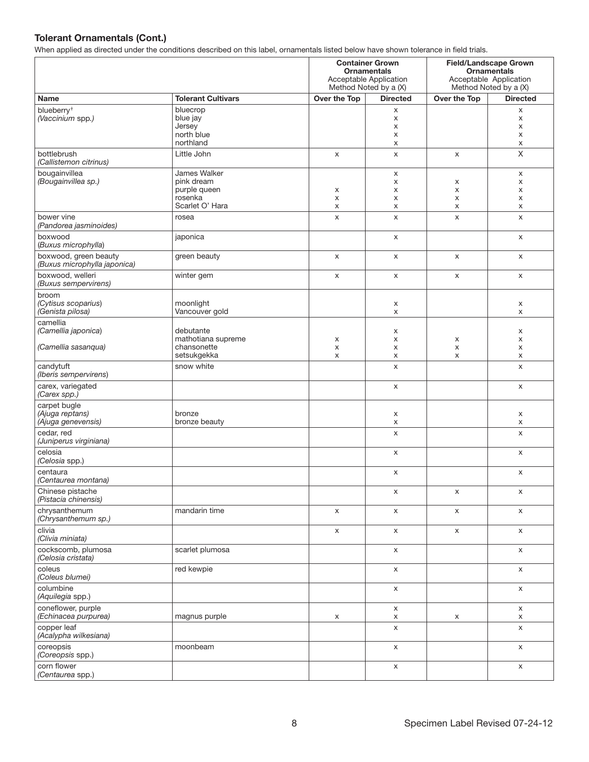|                                                       |                                                                          |              | <b>Container Grown</b><br><b>Ornamentals</b><br>Acceptable Application<br>Method Noted by a (X) |                  | <b>Field/Landscape Grown</b><br><b>Ornamentals</b><br>Acceptable Application<br>Method Noted by a (X) |
|-------------------------------------------------------|--------------------------------------------------------------------------|--------------|-------------------------------------------------------------------------------------------------|------------------|-------------------------------------------------------------------------------------------------------|
| Name                                                  | <b>Tolerant Cultivars</b>                                                | Over the Top | <b>Directed</b>                                                                                 | Over the Top     | <b>Directed</b>                                                                                       |
| blueberry <sup>+</sup><br>(Vaccinium spp.)            | bluecrop<br>blue jay<br>Jersey<br>north blue<br>northland                |              | X<br>X<br>X<br>X<br>X                                                                           |                  | X<br>$\boldsymbol{\mathsf{x}}$<br>X<br>X<br>X                                                         |
| bottlebrush<br>(Callistemon citrinus)                 | Little John                                                              | X            | X                                                                                               | X                | $\times$                                                                                              |
| bougainvillea<br>(Bougainvillea sp.)                  | James Walker<br>pink dream<br>purple queen<br>rosenka<br>Scarlet O' Hara | x<br>X<br>X  | X<br>X<br>х<br>X<br>X                                                                           | X<br>х<br>х<br>x | X<br>X<br>X<br>X<br>X                                                                                 |
| bower vine<br>(Pandorea jasminoides)                  | rosea                                                                    | X            | X                                                                                               | X                | X                                                                                                     |
| boxwood<br>(Buxus microphylla)                        | japonica                                                                 |              | $\mathsf{x}$                                                                                    |                  | $\mathsf{x}$                                                                                          |
| boxwood, green beauty<br>(Buxus microphylla japonica) | green beauty                                                             | X            | X                                                                                               | X                | X                                                                                                     |
| boxwood, welleri<br>(Buxus sempervirens)              | winter gem                                                               | X            | X                                                                                               | X                | X                                                                                                     |
| broom<br>(Cytisus scoparius)<br>(Genista pilosa)      | moonlight<br>Vancouver gold                                              |              | X<br>X                                                                                          |                  | X<br>X                                                                                                |
| camellia<br>(Camellia japonica)                       | debutante                                                                |              | X                                                                                               |                  | X                                                                                                     |
| (Camellia sasanqua)                                   | mathotiana supreme<br>chansonette<br>setsukgekka                         | X<br>X<br>X  | X<br>X<br>X                                                                                     | х<br>X<br>X      | X<br>X<br>X                                                                                           |
| candytuft<br>(Iberis sempervirens)                    | snow white                                                               |              | X                                                                                               |                  | X                                                                                                     |
| carex, variegated<br>(Carex spp.)                     |                                                                          |              | X                                                                                               |                  | X                                                                                                     |
| carpet bugle<br>(Ajuga reptans)<br>(Ajuga genevensis) | bronze<br>bronze beauty                                                  |              | X<br>X                                                                                          |                  | X<br>X                                                                                                |
| cedar, red<br>(Juniperus virginiana)                  |                                                                          |              | X                                                                                               |                  | X                                                                                                     |
| celosia<br>(Celosia spp.)                             |                                                                          |              | X                                                                                               |                  | X                                                                                                     |
| centaura<br>(Centaurea montana)                       |                                                                          |              | X                                                                                               |                  | X                                                                                                     |
| Chinese pistache<br>(Pistacia chinensis)              |                                                                          |              | X                                                                                               | X                | X                                                                                                     |
| chrysanthemum<br>(Chrysanthemum sp.)                  | mandarin time                                                            | X            | X                                                                                               | X                | X                                                                                                     |
| clivia<br>(Clivia miniata)                            |                                                                          | X            | X                                                                                               | X                | X                                                                                                     |
| cockscomb, plumosa<br>(Celosia cristata)              | scarlet plumosa                                                          |              | X                                                                                               |                  | X                                                                                                     |
| coleus<br>(Coleus blumei)                             | red kewpie                                                               |              | X                                                                                               |                  | $\mathsf X$                                                                                           |
| columbine<br>(Aquilegia spp.)                         |                                                                          |              | $\mathsf{X}$                                                                                    |                  | X                                                                                                     |
| coneflower, purple<br>(Echinacea purpurea)            | magnus purple                                                            | x            | $\mathsf X$<br>X                                                                                | х                | X<br>X                                                                                                |
| copper leaf<br>(Acalypha wilkesiana)                  |                                                                          |              | X                                                                                               |                  | X                                                                                                     |
| coreopsis<br>(Coreopsis spp.)                         | moonbeam                                                                 |              | X                                                                                               |                  | X                                                                                                     |
| corn flower<br>(Centaurea spp.)                       |                                                                          |              | X                                                                                               |                  | X                                                                                                     |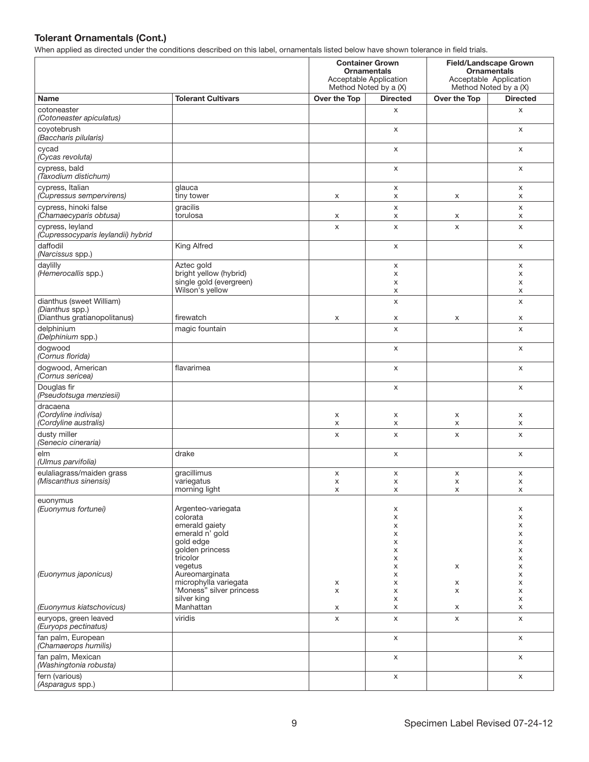|                                                           | <b>This replace as an occur and any conditions accompagnent and rappi, or name holds below have</b>                        | <b>Container Grown</b><br><b>Ornamentals</b><br>Acceptable Application<br>Method Noted by a (X) |                                      |              | <b>Field/Landscape Grown</b><br><b>Ornamentals</b><br>Acceptable Application<br>Method Noted by a (X) |
|-----------------------------------------------------------|----------------------------------------------------------------------------------------------------------------------------|-------------------------------------------------------------------------------------------------|--------------------------------------|--------------|-------------------------------------------------------------------------------------------------------|
| <b>Name</b>                                               | <b>Tolerant Cultivars</b>                                                                                                  | Over the Top                                                                                    | <b>Directed</b>                      | Over the Top | <b>Directed</b>                                                                                       |
| cotoneaster<br>(Cotoneaster apiculatus)                   |                                                                                                                            |                                                                                                 | X                                    |              | X                                                                                                     |
| coyotebrush<br>(Baccharis pilularis)                      |                                                                                                                            |                                                                                                 | X                                    |              | X                                                                                                     |
| cycad<br>(Cycas revoluta)                                 |                                                                                                                            |                                                                                                 | X                                    |              | X                                                                                                     |
| cypress, bald<br>(Taxodium distichum)                     |                                                                                                                            |                                                                                                 | X                                    |              | X                                                                                                     |
| cypress, Italian<br>(Cupressus sempervirens)              | glauca<br>tiny tower                                                                                                       | X                                                                                               | X<br>х                               | X            | X<br>X                                                                                                |
| cypress, hinoki false<br>(Chamaecyparis obtusa)           | gracilis<br>torulosa                                                                                                       | X                                                                                               | X<br>X                               | х            | X<br>X                                                                                                |
| cypress, leyland<br>(Cupressocyparis leylandii) hybrid    |                                                                                                                            | $\boldsymbol{\mathsf{x}}$                                                                       | X                                    | X            | X                                                                                                     |
| daffodil<br>(Narcissus spp.)                              | <b>King Alfred</b>                                                                                                         |                                                                                                 | X                                    |              | X                                                                                                     |
| daylilly                                                  | Aztec gold                                                                                                                 |                                                                                                 | X                                    |              | X                                                                                                     |
| (Hemerocallis spp.)                                       | bright yellow (hybrid)<br>single gold (evergreen)                                                                          |                                                                                                 | х<br>X                               |              | X<br>X                                                                                                |
|                                                           | Wilson's yellow                                                                                                            |                                                                                                 | х                                    |              | X                                                                                                     |
| dianthus (sweet William)<br>(Dianthus spp.)               |                                                                                                                            |                                                                                                 | X                                    |              | X                                                                                                     |
| (Dianthus gratianopolitanus)                              | firewatch                                                                                                                  | X                                                                                               | X                                    | X            | X                                                                                                     |
| delphinium<br>(Delphinium spp.)                           | magic fountain                                                                                                             |                                                                                                 | X                                    |              | X                                                                                                     |
| dogwood<br>(Cornus florida)                               |                                                                                                                            |                                                                                                 | X                                    |              | X                                                                                                     |
| dogwood, American<br>(Cornus sericea)                     | flavarimea                                                                                                                 |                                                                                                 | X                                    |              | X                                                                                                     |
| Douglas fir<br>(Pseudotsuga menziesii)                    |                                                                                                                            |                                                                                                 | X                                    |              | X                                                                                                     |
| dracaena<br>(Cordyline indivisa)<br>(Cordyline australis) |                                                                                                                            | X<br>X                                                                                          | x<br>X                               | X<br>X       | X<br>X                                                                                                |
| dusty miller<br>(Senecio cineraria)                       |                                                                                                                            | X                                                                                               | X                                    | X            | X                                                                                                     |
| elm<br>(Ulmus parvifolia)                                 | drake                                                                                                                      |                                                                                                 | X                                    |              | X                                                                                                     |
| eulaliagrass/maiden grass<br>(Miscanthus sinensis)        | gracillimus<br>variegatus<br>morning light                                                                                 | X<br>X<br>X                                                                                     | X<br>X<br>X                          | X<br>x<br>X  | X<br>х<br>X                                                                                           |
| euonymus<br>(Euonymus fortunei)                           | Argenteo-variegata<br>colorata<br>emerald gaiety<br>emerald n' gold<br>gold edge<br>golden princess<br>tricolor<br>vegetus |                                                                                                 | x<br>x<br>х<br>x<br>x<br>x<br>x<br>X | х            | x<br>X<br>X<br>X<br>X<br>X<br>X<br>X                                                                  |
| (Euonymus japonicus)                                      | Aureomarginata<br>microphylla variegata<br>'Moness" silver princess<br>silver king                                         | X<br>X                                                                                          | x<br>x<br>X<br>X                     | х<br>X       | X<br>X<br>X<br>X                                                                                      |
| (Euonymus kiatschovicus)                                  | Manhattan                                                                                                                  | X                                                                                               | X                                    | х            | X                                                                                                     |
| euryops, green leaved<br>(Euryops pectinatus)             | viridis                                                                                                                    | X                                                                                               | X                                    | X            | X                                                                                                     |
| fan palm, European<br>(Chamaerops humilis)                |                                                                                                                            |                                                                                                 | X                                    |              | X                                                                                                     |
| fan palm, Mexican<br>(Washingtonia robusta)               |                                                                                                                            |                                                                                                 | X                                    |              | X                                                                                                     |
| fern (various)<br>(Asparagus spp.)                        |                                                                                                                            |                                                                                                 | X                                    |              | X                                                                                                     |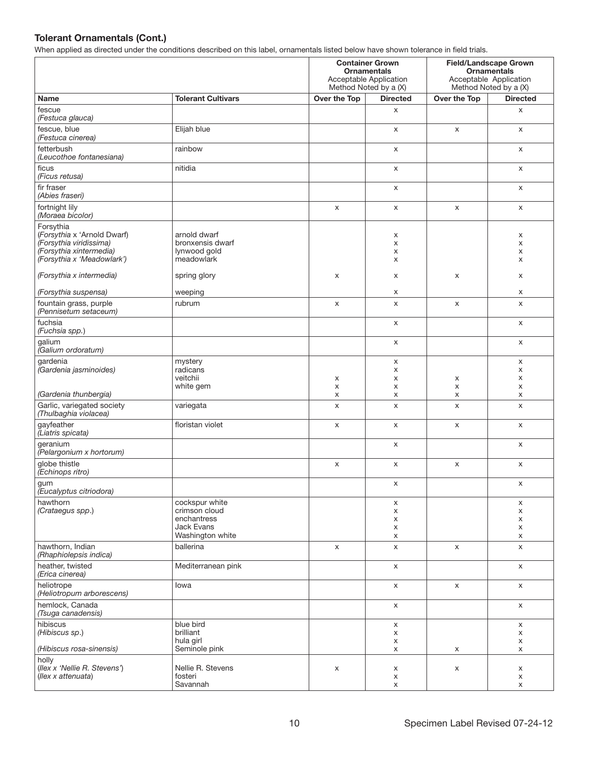|                                                                                                                              |                                                                |              | <b>Container Grown</b><br><b>Ornamentals</b><br>Acceptable Application<br>Method Noted by a (X) |              | <b>Field/Landscape Grown</b><br><b>Ornamentals</b><br>Acceptable Application<br>Method Noted by a (X) |
|------------------------------------------------------------------------------------------------------------------------------|----------------------------------------------------------------|--------------|-------------------------------------------------------------------------------------------------|--------------|-------------------------------------------------------------------------------------------------------|
| <b>Name</b>                                                                                                                  | <b>Tolerant Cultivars</b>                                      | Over the Top | <b>Directed</b>                                                                                 | Over the Top | <b>Directed</b>                                                                                       |
| fescue<br>(Festuca glauca)                                                                                                   |                                                                |              | X                                                                                               |              | X                                                                                                     |
| fescue, blue<br>(Festuca cinerea)                                                                                            | Elijah blue                                                    |              | X                                                                                               | X            | X                                                                                                     |
| fetterbush<br>(Leucothoe fontanesiana)                                                                                       | rainbow                                                        |              | X                                                                                               |              | X                                                                                                     |
| ficus<br>(Ficus retusa)                                                                                                      | nitidia                                                        |              | X                                                                                               |              | X                                                                                                     |
| fir fraser<br>(Abies fraseri)                                                                                                |                                                                |              | X                                                                                               |              | X                                                                                                     |
| fortnight lily<br>(Moraea bicolor)                                                                                           |                                                                | X            | X                                                                                               | X            | X                                                                                                     |
| Forsythia<br>(Forsythia x 'Arnold Dwarf)<br>(Forsythia viridissima)<br>(Forsythia xintermedia)<br>(Forsythia x 'Meadowlark') | arnold dwarf<br>bronxensis dwarf<br>lynwood gold<br>meadowlark |              | х<br>X<br>х<br>X                                                                                |              | Х<br>X<br>X<br>X                                                                                      |
| (Forsythia x intermedia)                                                                                                     | spring glory                                                   | X            | х                                                                                               | X            | X                                                                                                     |
| (Forsythia suspensa)                                                                                                         | weeping                                                        |              | х                                                                                               |              | X                                                                                                     |
| fountain grass, purple<br>(Pennisetum setaceum)                                                                              | rubrum                                                         | X            | X                                                                                               | X            | X                                                                                                     |
| fuchsia<br>(Fuchsia spp.)                                                                                                    |                                                                |              | X                                                                                               |              | X                                                                                                     |
| galium<br>(Galium ordoratum)                                                                                                 |                                                                |              | X                                                                                               |              | X                                                                                                     |
| gardenia<br>(Gardenia jasminoides)                                                                                           | mystery<br>radicans                                            |              | x                                                                                               |              | X                                                                                                     |
|                                                                                                                              | veitchii                                                       | X            | x<br>x                                                                                          | X            | X<br>X                                                                                                |
|                                                                                                                              | white gem                                                      | X            | x                                                                                               | X            | X                                                                                                     |
| (Gardenia thunbergia)                                                                                                        |                                                                | X            | x                                                                                               | X            | X                                                                                                     |
| Garlic, variegated society<br>(Thulbaghia violacea)                                                                          | variegata                                                      | X            | X                                                                                               | X            | X                                                                                                     |
| gayfeather<br>(Liatris spicata)                                                                                              | floristan violet                                               | X            | X                                                                                               | X            | X                                                                                                     |
| geranium<br>(Pelargonium x hortorum)                                                                                         |                                                                |              | X                                                                                               |              | X                                                                                                     |
| globe thistle<br>(Echinops ritro)                                                                                            |                                                                | X            | X                                                                                               | X            | X                                                                                                     |
| gum<br>(Eucalyptus citriodora)                                                                                               |                                                                |              | x                                                                                               |              | x                                                                                                     |
| hawthorn<br>(Crataegus spp.)                                                                                                 | cockspur white<br>crimson cloud                                |              | X<br>X                                                                                          |              | X<br>X                                                                                                |
|                                                                                                                              | enchantress                                                    |              | X                                                                                               |              | X                                                                                                     |
|                                                                                                                              | <b>Jack Evans</b>                                              |              | X                                                                                               |              | X                                                                                                     |
| hawthorn, Indian<br>(Rhaphiolepsis indica)                                                                                   | Washington white<br>ballerina                                  | X            | X<br>X                                                                                          | X            | X<br>X                                                                                                |
| heather, twisted<br>(Erica cinerea)                                                                                          | Mediterranean pink                                             |              | $\mathsf X$                                                                                     |              | $\mathsf X$                                                                                           |
| heliotrope<br>(Heliotropum arborescens)                                                                                      | lowa                                                           |              | X                                                                                               | X            | $\mathsf X$                                                                                           |
| hemlock, Canada<br>(Tsuga canadensis)                                                                                        |                                                                |              | X                                                                                               |              | X                                                                                                     |
| hibiscus<br>(Hibiscus sp.)                                                                                                   | blue bird<br>brilliant                                         |              | X<br>X                                                                                          |              | X<br>X                                                                                                |
| (Hibiscus rosa-sinensis)                                                                                                     | hula girl<br>Seminole pink                                     |              | X<br>X                                                                                          | X            | X<br>x                                                                                                |
| holly                                                                                                                        |                                                                |              |                                                                                                 |              |                                                                                                       |
| (Ilex x 'Nellie R. Stevens')<br>(Ilex x attenuata)                                                                           | Nellie R. Stevens<br>fosteri                                   | X            | x<br>X                                                                                          | X            | X<br>X                                                                                                |
|                                                                                                                              | Savannah                                                       |              | X                                                                                               |              | X                                                                                                     |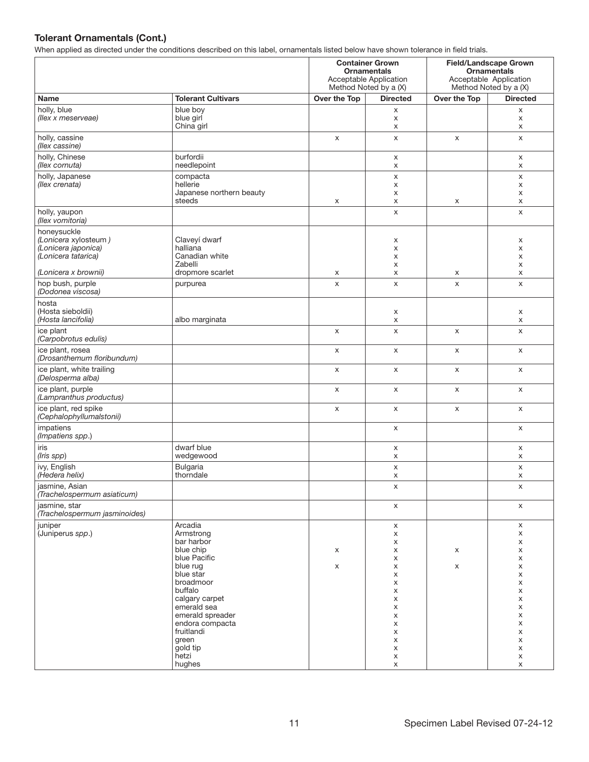| -17                                                                                                       |                                                                                                                                                                                                                                                |                    | <b>Container Grown</b><br><b>Ornamentals</b><br>Acceptable Application<br>Method Noted by a (X)  |                | Field/Landscape Grown<br><b>Ornamentals</b><br>Acceptable Application<br>Method Noted by a (X)   |
|-----------------------------------------------------------------------------------------------------------|------------------------------------------------------------------------------------------------------------------------------------------------------------------------------------------------------------------------------------------------|--------------------|--------------------------------------------------------------------------------------------------|----------------|--------------------------------------------------------------------------------------------------|
| Name                                                                                                      | <b>Tolerant Cultivars</b>                                                                                                                                                                                                                      | Over the Top       | <b>Directed</b>                                                                                  | Over the Top   | <b>Directed</b>                                                                                  |
| holly, blue<br>(llex x meserveae)                                                                         | blue boy<br>blue girl<br>China girl                                                                                                                                                                                                            |                    | X<br>X<br>X                                                                                      |                | X<br>X<br>X                                                                                      |
| holly, cassine<br>(llex cassine)                                                                          |                                                                                                                                                                                                                                                | X                  | X                                                                                                | X              | X                                                                                                |
| holly, Chinese<br>(llex cornuta)                                                                          | burfordii<br>needlepoint                                                                                                                                                                                                                       |                    | X<br>X                                                                                           |                | X<br>X                                                                                           |
| holly, Japanese<br>(llex crenata)                                                                         | compacta<br>hellerie<br>Japanese northern beauty<br>steeds                                                                                                                                                                                     | x                  | X<br>X<br>X<br>X                                                                                 | X              | X<br>X<br>X<br>X                                                                                 |
| holly, yaupon<br>(llex vomitoria)                                                                         |                                                                                                                                                                                                                                                |                    | X                                                                                                |                | X                                                                                                |
| honeysuckle<br>(Lonicera xylosteum)<br>(Lonicera japonica)<br>(Lonicera tatarica)<br>(Lonicera x brownii) | Claveyí dwarf<br>halliana<br>Canadian white<br>Zabelli<br>dropmore scarlet                                                                                                                                                                     | X                  | х<br>X<br>х<br>X<br>X                                                                            | X              | X<br>X<br>X<br>X<br>X                                                                            |
| hop bush, purple<br>(Dodonea viscosa)                                                                     | purpurea                                                                                                                                                                                                                                       | $\pmb{\mathsf{X}}$ | X                                                                                                | $\pmb{\times}$ | X                                                                                                |
| hosta<br>(Hosta sieboldii)<br>(Hosta lancifolia)                                                          | albo marginata                                                                                                                                                                                                                                 |                    | х<br>X                                                                                           |                | X<br>X                                                                                           |
| ice plant<br>(Carpobrotus edulis)                                                                         |                                                                                                                                                                                                                                                | X                  | X                                                                                                | X              | X                                                                                                |
| ice plant, rosea<br>(Drosanthemum floribundum)                                                            |                                                                                                                                                                                                                                                | X                  | X                                                                                                | X              | X                                                                                                |
| ice plant, white trailing<br>(Delosperma alba)                                                            |                                                                                                                                                                                                                                                | X                  | X                                                                                                | X              | X                                                                                                |
| ice plant, purple<br>(Lampranthus productus)                                                              |                                                                                                                                                                                                                                                | X                  | X                                                                                                | X              | X                                                                                                |
| ice plant, red spike<br>(Cephalophyllumalstonii)                                                          |                                                                                                                                                                                                                                                | X                  | X                                                                                                | X              | X                                                                                                |
| impatiens<br>(Impatiens spp.)                                                                             |                                                                                                                                                                                                                                                |                    | X                                                                                                |                | X                                                                                                |
| iris<br>(Iris spp)                                                                                        | dwarf blue<br>wedgewood                                                                                                                                                                                                                        |                    | X<br>X                                                                                           |                | X<br>X                                                                                           |
| ivy, English<br>(Hedera helix)                                                                            | <b>Bulgaria</b><br>thorndale                                                                                                                                                                                                                   |                    | X<br>X                                                                                           |                | X<br>X                                                                                           |
| jasmine, Asian<br>(Trachelospermum asiaticum)                                                             |                                                                                                                                                                                                                                                |                    | x                                                                                                |                | X.                                                                                               |
| jasmine, star<br>(Trachelospermum jasminoides)                                                            |                                                                                                                                                                                                                                                |                    | X                                                                                                |                | X                                                                                                |
| juniper<br>(Juniperus spp.)                                                                               | Arcadia<br>Armstrong<br>bar harbor<br>blue chip<br>blue Pacific<br>blue rug<br>blue star<br>broadmoor<br>buffalo<br>calgary carpet<br>emerald sea<br>emerald spreader<br>endora compacta<br>fruitlandi<br>green<br>gold tip<br>hetzi<br>hughes | X<br>X             | X<br>X<br>X<br>X<br>X<br>X<br>X<br>X<br>X<br>X<br>X<br>X<br>X<br>X<br>X<br>X<br>x<br>$\mathsf X$ | X<br>X         | X<br>X<br>x<br>X<br>x<br>X<br>X<br>x<br>X<br>X<br>X<br>X<br>X<br>X<br>X<br>$\mathsf X$<br>X<br>X |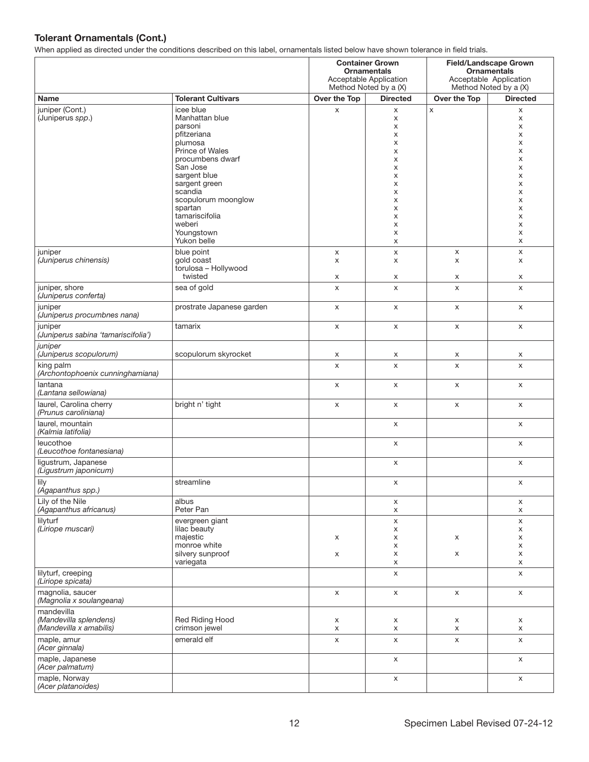|                                                                 |                                                                                                                                                                                                                                                            | <b>Container Grown</b><br><b>Ornamentals</b><br>Acceptable Application<br>Method Noted by a (X) |                                                                                   | <b>Field/Landscape Grown</b><br><b>Ornamentals</b><br>Acceptable Application<br>Method Noted by a (X) |                                                                                   |
|-----------------------------------------------------------------|------------------------------------------------------------------------------------------------------------------------------------------------------------------------------------------------------------------------------------------------------------|-------------------------------------------------------------------------------------------------|-----------------------------------------------------------------------------------|-------------------------------------------------------------------------------------------------------|-----------------------------------------------------------------------------------|
| Name                                                            | <b>Tolerant Cultivars</b>                                                                                                                                                                                                                                  | Over the Top                                                                                    | <b>Directed</b>                                                                   | Over the Top                                                                                          | <b>Directed</b>                                                                   |
| juniper (Cont.)<br>(Juniperus spp.)                             | icee blue<br>Manhattan blue<br>parsoni<br>pfitzeriana<br>plumosa<br>Prince of Wales<br>procumbens dwarf<br>San Jose<br>sargent blue<br>sargent green<br>scandia<br>scopulorum moonglow<br>spartan<br>tamariscifolia<br>weberi<br>Youngstown<br>Yukon belle | X                                                                                               | X<br>X<br>х<br>х<br>X<br>X<br>X<br>X<br>X<br>X<br>X<br>X<br>X<br>X<br>X<br>X<br>X | X                                                                                                     | X<br>X<br>X<br>X<br>X<br>X<br>X<br>X<br>X<br>X<br>X<br>X<br>X<br>X<br>X<br>X<br>X |
| juniper<br>(Juniperus chinensis)                                | blue point<br>gold coast<br>torulosa - Hollywood<br>twisted                                                                                                                                                                                                | X<br>X<br>X                                                                                     | X<br>X<br>X                                                                       | X<br>X<br>х                                                                                           | X<br>X<br>X                                                                       |
| juniper, shore<br>(Juniperus conferta)                          | sea of gold                                                                                                                                                                                                                                                | X                                                                                               | X                                                                                 | X                                                                                                     | X                                                                                 |
| juniper<br>(Juniperus procumbnes nana)                          | prostrate Japanese garden                                                                                                                                                                                                                                  | X                                                                                               | X                                                                                 | X                                                                                                     | X                                                                                 |
| juniper<br>(Juniperus sabina 'tamariscifolia')                  | tamarix                                                                                                                                                                                                                                                    | $\mathsf X$                                                                                     | X                                                                                 | X                                                                                                     | X                                                                                 |
| juniper<br>(Juniperus scopulorum)                               | scopulorum skyrocket                                                                                                                                                                                                                                       | x                                                                                               | X                                                                                 | X                                                                                                     | x                                                                                 |
| king palm<br>(Archontophoenix cunninghamiana)                   |                                                                                                                                                                                                                                                            | X                                                                                               | X                                                                                 | X                                                                                                     | X                                                                                 |
| lantana<br>(Lantana sellowiana)                                 |                                                                                                                                                                                                                                                            | X                                                                                               | X                                                                                 | X                                                                                                     | X                                                                                 |
| laurel, Carolina cherry<br>(Prunus caroliniana)                 | bright n' tight                                                                                                                                                                                                                                            | X                                                                                               | X                                                                                 | X                                                                                                     | X                                                                                 |
| laurel, mountain<br>(Kalmia latifolia)                          |                                                                                                                                                                                                                                                            |                                                                                                 | X                                                                                 |                                                                                                       | X                                                                                 |
| leucothoe<br>(Leucothoe fontanesiana)                           |                                                                                                                                                                                                                                                            |                                                                                                 | X                                                                                 |                                                                                                       | X                                                                                 |
| ligustrum, Japanese<br>(Ligustrum japonicum)                    |                                                                                                                                                                                                                                                            |                                                                                                 | X                                                                                 |                                                                                                       | X                                                                                 |
| lily<br>(Agapanthus spp.)                                       | streamline                                                                                                                                                                                                                                                 |                                                                                                 | x                                                                                 |                                                                                                       | х                                                                                 |
| Lily of the Nile<br>(Agapanthus africanus)                      | albus<br>Peter Pan                                                                                                                                                                                                                                         |                                                                                                 | X<br>$\mathsf X$                                                                  |                                                                                                       | X<br>X                                                                            |
| lilyturf<br>(Liriope muscari)                                   | evergreen giant<br>lilac beauty<br>majestic                                                                                                                                                                                                                | X                                                                                               | $\mathsf X$<br>X<br>X                                                             | X                                                                                                     | $\mathsf X$<br>X<br>X                                                             |
|                                                                 | monroe white<br>silvery sunproof<br>variegata                                                                                                                                                                                                              | X                                                                                               | X<br>X<br>X                                                                       | X                                                                                                     | X<br>X<br>X                                                                       |
| lilyturf, creeping<br>(Liriope spicata)                         |                                                                                                                                                                                                                                                            |                                                                                                 | X                                                                                 |                                                                                                       | X                                                                                 |
| magnolia, saucer<br>(Magnolia x soulangeana)                    |                                                                                                                                                                                                                                                            | X                                                                                               | $\mathsf X$                                                                       | $\mathsf X$                                                                                           | $\mathsf X$                                                                       |
| mandevilla<br>(Mandevilla splendens)<br>(Mandevilla x amabilis) | Red Riding Hood<br>crimson jewel                                                                                                                                                                                                                           | X<br>X                                                                                          | X<br>X                                                                            | X<br>X                                                                                                | X<br>X                                                                            |
| maple, amur<br>(Acer ginnala)                                   | emerald elf                                                                                                                                                                                                                                                | X                                                                                               | $\mathsf X$                                                                       | $\mathsf X$                                                                                           | X                                                                                 |
| maple, Japanese<br>(Acer palmatum)                              |                                                                                                                                                                                                                                                            |                                                                                                 | X                                                                                 |                                                                                                       | X                                                                                 |
| maple, Norway<br>(Acer platanoides)                             |                                                                                                                                                                                                                                                            |                                                                                                 | X                                                                                 |                                                                                                       | X                                                                                 |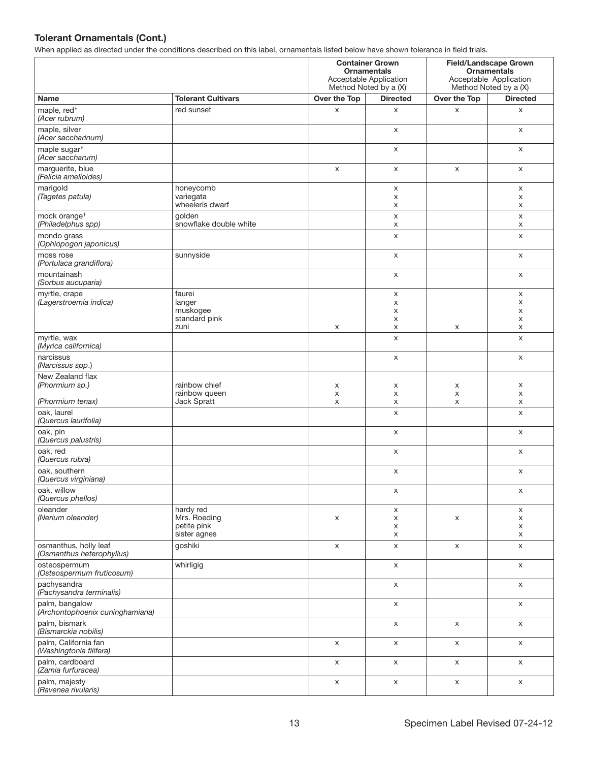|                                                    |                                           | <b>Container Grown</b><br><b>Ornamentals</b><br>Acceptable Application<br>Method Noted by a (X) |                 | <b>Field/Landscape Grown</b><br><b>Ornamentals</b><br>Acceptable Application<br>Method Noted by a (X) |                 |
|----------------------------------------------------|-------------------------------------------|-------------------------------------------------------------------------------------------------|-----------------|-------------------------------------------------------------------------------------------------------|-----------------|
| Name                                               | <b>Tolerant Cultivars</b>                 | Over the Top                                                                                    | <b>Directed</b> | Over the Top                                                                                          | <b>Directed</b> |
| maple, red <sup>+</sup><br>(Acer rubrum)           | red sunset                                | X                                                                                               | X               | X                                                                                                     | X               |
| maple, silver<br>(Acer saccharinum)                |                                           |                                                                                                 | X               |                                                                                                       | X               |
| maple sugar <sup>†</sup><br>(Acer saccharum)       |                                           |                                                                                                 | X               |                                                                                                       | X               |
| marguerite, blue<br>(Felicia amelloides)           |                                           | X                                                                                               | X               | X                                                                                                     | X               |
| marigold<br>(Tagetes patula)                       | honeycomb<br>variegata<br>wheelerís dwarf |                                                                                                 | X<br>X<br>X     |                                                                                                       | X<br>x<br>X     |
| mock orange <sup>+</sup><br>(Philadelphus spp)     | golden<br>snowflake double white          |                                                                                                 | X<br>X          |                                                                                                       | X<br>X          |
| mondo grass<br>(Ophiopogon japonicus)              |                                           |                                                                                                 | X               |                                                                                                       | X               |
| moss rose<br>(Portulaca grandiflora)               | sunnyside                                 |                                                                                                 | X               |                                                                                                       | X               |
| mountainash<br>(Sorbus aucuparia)                  |                                           |                                                                                                 | x               |                                                                                                       | X               |
| myrtle, crape                                      | faurei                                    |                                                                                                 | X               |                                                                                                       | X               |
| (Lagerstroemia indica)                             | langer<br>muskogee                        |                                                                                                 | X<br>X          |                                                                                                       | X<br>X          |
|                                                    | standard pink                             |                                                                                                 | X               |                                                                                                       | X               |
|                                                    | zuni                                      | X                                                                                               | X               | x                                                                                                     | X               |
| myrtle, wax<br>(Myrica californica)                |                                           |                                                                                                 | X               |                                                                                                       | X               |
| narcissus<br>(Narcissus spp.)                      |                                           |                                                                                                 | X               |                                                                                                       | X               |
| New Zealand flax<br>(Phormium sp.)                 | rainbow chief<br>rainbow queen            | X<br>X                                                                                          | x<br>X          | X<br>X                                                                                                | X<br>X          |
| (Phormium tenax)                                   | Jack Spratt                               | X                                                                                               | X               | X                                                                                                     | X               |
| oak, laurel<br>(Quercus laurifolia)                |                                           |                                                                                                 | X               |                                                                                                       | X               |
| oak, pin<br>(Quercus palustris)                    |                                           |                                                                                                 | X               |                                                                                                       | X               |
| oak, red<br>(Quercus rubra)                        |                                           |                                                                                                 | X               |                                                                                                       | X               |
| oak, southern<br>(Quercus virginiana)              |                                           |                                                                                                 | X               |                                                                                                       | X               |
| oak, willow<br>(Quercus phellos)                   |                                           |                                                                                                 | X               |                                                                                                       | X               |
| oleander<br>(Nerium oleander)                      | hardy red<br>Mrs. Roeding                 | X                                                                                               | x<br>X          | X                                                                                                     | x<br>X          |
|                                                    | petite pink<br>sister agnes               |                                                                                                 | X<br>x          |                                                                                                       | X<br>x          |
| osmanthus, holly leaf<br>(Osmanthus heterophyllus) | goshiki                                   | X                                                                                               | X               | X                                                                                                     | X               |
| osteospermum<br>(Osteospermum fruticosum)          | whirligig                                 |                                                                                                 | X               |                                                                                                       | $\mathsf X$     |
| pachysandra<br>(Pachysandra terminalis)            |                                           |                                                                                                 | X               |                                                                                                       | X               |
| palm, bangalow<br>(Archontophoenix cuninghamiana)  |                                           |                                                                                                 | X               |                                                                                                       | X               |
| palm, bismark<br>(Bismarckia nobilis)              |                                           |                                                                                                 | X               | X                                                                                                     | X               |
| palm, California fan<br>(Washingtonia filifera)    |                                           | X                                                                                               | X               | X                                                                                                     | X               |
| palm, cardboard<br>Zamia furfuracea)               |                                           | $\mathsf X$                                                                                     | X               | X                                                                                                     | X               |
| palm, majesty<br>(Ravenea rivularis)               |                                           | X                                                                                               | X               | $\mathsf X$                                                                                           | X               |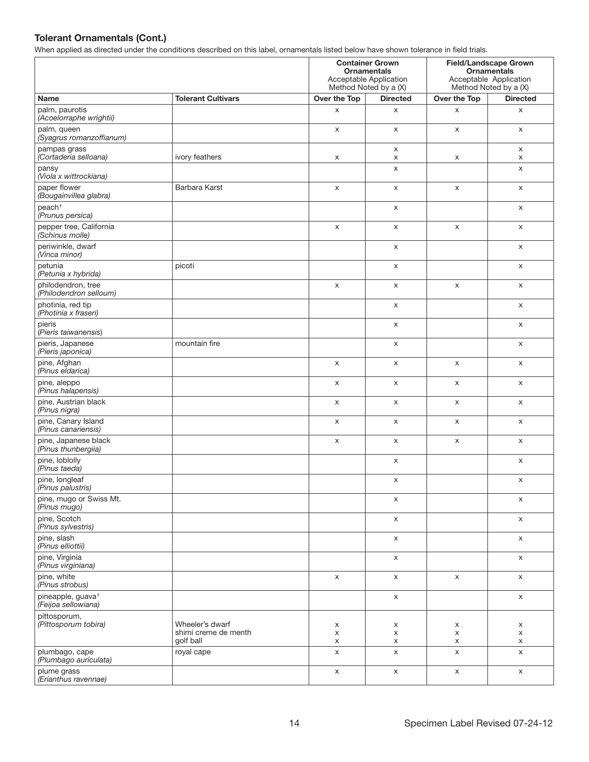|                                                      |                                   | <b>Container Grown</b><br><b>Ornamentals</b><br>Acceptable Application<br>Method Noted by a (X) |                 |              | <b>Field/Landscape Grown</b><br><b>Ornamentals</b><br>Acceptable Application<br>Method Noted by a (X) |
|------------------------------------------------------|-----------------------------------|-------------------------------------------------------------------------------------------------|-----------------|--------------|-------------------------------------------------------------------------------------------------------|
| <b>Name</b>                                          | <b>Tolerant Cultivars</b>         | Over the Top                                                                                    | <b>Directed</b> | Over the Top | <b>Directed</b>                                                                                       |
| palm, paurotis<br>(Acoelorraphe wrightii)            |                                   | X                                                                                               | X               | X            | X                                                                                                     |
| palm, queen<br>(Syagrus romanzoffianum)              |                                   | X                                                                                               | X               | X            | X                                                                                                     |
| pampas grass<br>(Cortaderia selloana)                | ivory feathers                    | X                                                                                               | X<br>X          | X            | X<br>X                                                                                                |
| pansy<br>(Viola x wittrockiana)                      |                                   |                                                                                                 | X               |              | X                                                                                                     |
| paper flower<br>(Bougainvillea glabra)               | Barbara Karst                     | X                                                                                               | X               | X            | X                                                                                                     |
| peach <sup>+</sup><br>(Prunus persica)               |                                   |                                                                                                 | X               |              | X                                                                                                     |
| pepper tree, California<br>(Schinus molle)           |                                   | X                                                                                               | X               | X            | X                                                                                                     |
| periwinkle, dwarf<br>(Vinca minor)                   |                                   |                                                                                                 | X               |              | X                                                                                                     |
| petunia<br>(Petunia x hybrida)                       | picoti                            |                                                                                                 | X               |              | X                                                                                                     |
| philodendron, tree<br>(Philodendron selloum)         |                                   | X                                                                                               | X               | X            | X                                                                                                     |
| photinia, red tip<br>(Photinia x fraseri)            |                                   |                                                                                                 | X               |              | X                                                                                                     |
| pieris<br>(Pieris taiwanensis)                       |                                   |                                                                                                 | X               |              | X                                                                                                     |
| pieris, Japanese<br>(Pieris japonica)                | mountain fire                     |                                                                                                 | X               |              | X                                                                                                     |
| pine, Afghan<br>(Pinus eldarica)                     |                                   | X                                                                                               | X               | X            | X                                                                                                     |
| pine, aleppo<br>(Pinus halapensis)                   |                                   | X                                                                                               | X               | X            | X                                                                                                     |
| pine, Austrian black<br>(Pinus nigra)                |                                   | X                                                                                               | X               | X            | X                                                                                                     |
| pine, Canary Island<br>(Pinus canariensis)           |                                   | X                                                                                               | X               | X            | X                                                                                                     |
| pine, Japanese black<br>(Pinus thunbergiia)          |                                   | X                                                                                               | X               | X            | X                                                                                                     |
| pine, loblolly<br>(Pinus taeda)                      |                                   |                                                                                                 | X               |              | X                                                                                                     |
| pine, longleaf<br>(Pinus palustris)                  |                                   |                                                                                                 | X               |              | X                                                                                                     |
| pine, mugo or Swiss Mt.<br>(Pinus mugo)              |                                   |                                                                                                 | X               |              | X                                                                                                     |
| pine, Scotch<br>(Pinus sylvestris)                   |                                   |                                                                                                 | X               |              | $\mathsf X$                                                                                           |
| pine, slash<br>(Pinus elliottii)                     |                                   |                                                                                                 | X               |              | X                                                                                                     |
| pine, Virginia<br>(Pinus virginiana)                 |                                   |                                                                                                 | X               |              | X                                                                                                     |
| pine, white<br>(Pinus strobus)                       |                                   | X                                                                                               | X               | X            | X                                                                                                     |
| pineapple, guava <sup>+</sup><br>(Feijoa sellowiana) |                                   |                                                                                                 | $\mathsf X$     |              | X                                                                                                     |
| pittosporum,<br>(Pittosporum tobira)                 | Wheeler's dwarf                   | X                                                                                               | X               | X            | x                                                                                                     |
|                                                      | shimi creme de menth<br>golf ball | X<br>X                                                                                          | X<br>X          | X<br>X       | x<br>X                                                                                                |
| plumbago, cape<br>(Plumbago auriculata)              | royal cape                        | X                                                                                               | X               | X            | X                                                                                                     |
| plume grass<br>(Erianthus ravennae)                  |                                   | X                                                                                               | X               | X            | X                                                                                                     |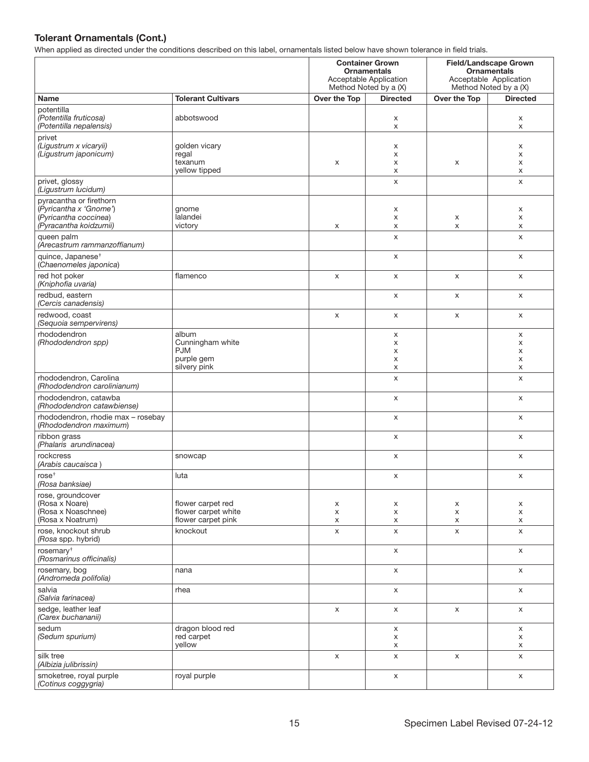|                                                                                                                    |                                                                       | <b>Container Grown</b><br><b>Ornamentals</b><br>Acceptable Application<br>Method Noted by a (X) |                       | <b>Field/Landscape Grown</b><br><b>Ornamentals</b><br>Acceptable Application<br>Method Noted by a (X) |                             |
|--------------------------------------------------------------------------------------------------------------------|-----------------------------------------------------------------------|-------------------------------------------------------------------------------------------------|-----------------------|-------------------------------------------------------------------------------------------------------|-----------------------------|
| Name                                                                                                               | <b>Tolerant Cultivars</b>                                             | Over the Top                                                                                    | <b>Directed</b>       | Over the Top                                                                                          | <b>Directed</b>             |
| potentilla<br>(Potentilla fruticosa)<br>(Potentilla nepalensis)                                                    | abbotswood                                                            |                                                                                                 | X<br>X                |                                                                                                       | x<br>X                      |
| privet<br>(Ligustrum x vicaryii)<br>(Ligustrum japonicum)                                                          | golden vicary<br>regal<br>texanum<br>yellow tipped                    | X                                                                                               | X<br>X<br>X<br>X      | X                                                                                                     | x<br>X<br>X<br>X            |
| privet, glossy<br>(Ligustrum lucidum)                                                                              |                                                                       |                                                                                                 | X                     |                                                                                                       | X                           |
| pyracantha or firethorn<br>(Pyricantha x 'Gnome')<br>(Pyricantha coccinea)<br>(Pyracantha koidzumii)<br>queen palm | gnome<br>lalandei<br>victory                                          | X                                                                                               | X<br>X<br>X<br>X      | х<br>X                                                                                                | X<br>X<br>X<br>$\mathsf{x}$ |
| (Arecastrum rammanzoffianum)<br>quince, Japanese <sup>+</sup>                                                      |                                                                       |                                                                                                 | X                     |                                                                                                       | X                           |
| (Chaenomeles japonica)                                                                                             |                                                                       |                                                                                                 |                       |                                                                                                       |                             |
| red hot poker<br>(Kniphofia uvaria)                                                                                | flamenco                                                              | X                                                                                               | X                     | X                                                                                                     | X                           |
| redbud, eastern<br>(Cercis canadensis)                                                                             |                                                                       |                                                                                                 | X                     | X                                                                                                     | X                           |
| redwood, coast<br>(Sequoia sempervirens)                                                                           |                                                                       | X                                                                                               | X                     | X                                                                                                     | X                           |
| rhododendron<br>(Rhododendron spp)                                                                                 | album<br>Cunningham white<br><b>PJM</b><br>purple gem<br>silvery pink |                                                                                                 | X<br>X<br>х<br>X<br>X |                                                                                                       | X<br>X<br>x<br>X<br>X       |
| rhododendron, Carolina<br>(Rhododendron carolinianum)                                                              |                                                                       |                                                                                                 | X                     |                                                                                                       | X                           |
| rhododendron, catawba<br>(Rhododendron catawbiense)                                                                |                                                                       |                                                                                                 | X                     |                                                                                                       | X                           |
| rhododendron, rhodie max - rosebay<br>(Rhododendron maximum)                                                       |                                                                       |                                                                                                 | X                     |                                                                                                       | X                           |
| ribbon grass<br>(Phalaris arundinacea)                                                                             |                                                                       |                                                                                                 | X                     |                                                                                                       | X                           |
| rockcress<br>(Arabis caucaisca)                                                                                    | snowcap                                                               |                                                                                                 | X                     |                                                                                                       | X                           |
| rose <sup>+</sup><br>(Rosa banksiae)                                                                               | luta                                                                  |                                                                                                 | X                     |                                                                                                       | X                           |
| rose, groundcover<br>(Rosa x Noare)<br>(Rosa x Noaschnee)<br>(Rosa x Noatrum)                                      | flower carpet red<br>flower carpet white<br>flower carpet pink        | x<br>X<br>X                                                                                     | x<br>X<br>X           | x<br>X<br>X                                                                                           | x<br>X<br>X                 |
| rose, knockout shrub<br>(Rosa spp. hybrid)                                                                         | knockout                                                              | X                                                                                               | X                     | X                                                                                                     | X                           |
| rosemary $\dagger$<br>(Rosmarinus officinalis)                                                                     |                                                                       |                                                                                                 | X                     |                                                                                                       | X                           |
| rosemary, bog<br>(Andromeda polifolia)                                                                             | nana                                                                  |                                                                                                 | X                     |                                                                                                       | X                           |
| salvia<br>(Salvia farinacea)                                                                                       | rhea                                                                  |                                                                                                 | X                     |                                                                                                       | X                           |
| sedge, leather leaf<br>(Carex buchananii)                                                                          |                                                                       | X                                                                                               | X                     | X                                                                                                     | X                           |
| sedum<br>(Sedum spurium)                                                                                           | dragon blood red<br>red carpet<br>yellow                              |                                                                                                 | X<br>X<br>X           |                                                                                                       | X<br>X<br>x                 |
| silk tree<br>(Albizia julibrissin)                                                                                 |                                                                       | X                                                                                               | X                     | X                                                                                                     | X                           |
| smoketree, royal purple<br>(Cotinus coggygria)                                                                     | royal purple                                                          |                                                                                                 | X                     |                                                                                                       | X                           |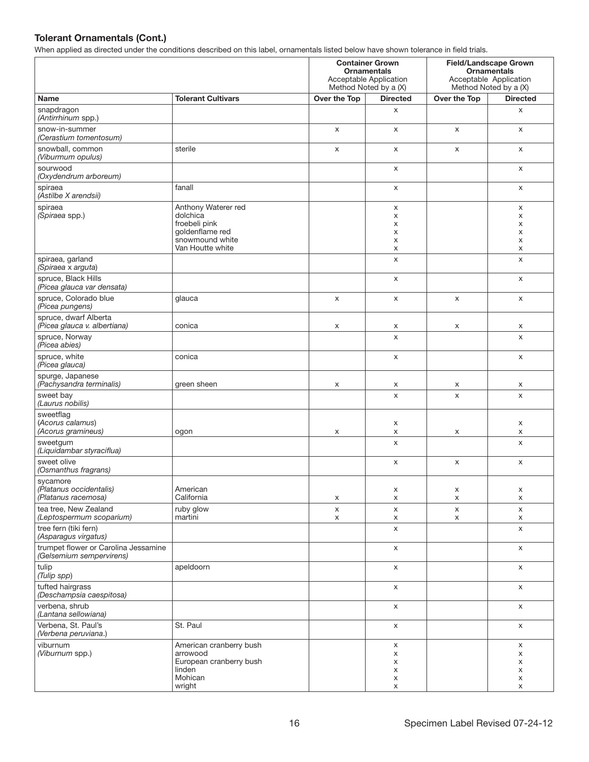| mon applica as allocted ander the conditions accentived on this label; childrichitate lictual below have |                                                                                                            | <b>Container Grown</b><br><b>Ornamentals</b><br>Acceptable Application<br>Method Noted by a (X) |                            | <b>Field/Landscape Grown</b><br><b>Ornamentals</b><br>Acceptable Application<br>Method Noted by a (X) |                            |
|----------------------------------------------------------------------------------------------------------|------------------------------------------------------------------------------------------------------------|-------------------------------------------------------------------------------------------------|----------------------------|-------------------------------------------------------------------------------------------------------|----------------------------|
| <b>Name</b>                                                                                              | <b>Tolerant Cultivars</b>                                                                                  | Over the Top                                                                                    | <b>Directed</b>            | Over the Top                                                                                          | <b>Directed</b>            |
| snapdragon<br>(Antirrhinum spp.)                                                                         |                                                                                                            |                                                                                                 | X                          |                                                                                                       | X                          |
| snow-in-summer<br>(Cerastium tomentosum)                                                                 |                                                                                                            | X                                                                                               | X                          | X                                                                                                     | X                          |
| snowball, common<br>(Viburmum opulus)                                                                    | sterile                                                                                                    | X                                                                                               | X                          | X                                                                                                     | X                          |
| sourwood<br>(Oxydendrum arboreum)                                                                        |                                                                                                            |                                                                                                 | X                          |                                                                                                       | X                          |
| spiraea<br>(Astilbe X arendsii)                                                                          | fanall                                                                                                     |                                                                                                 | X                          |                                                                                                       | X                          |
| spiraea<br>(Spiraea spp.)                                                                                | Anthony Waterer red<br>dolchica<br>froebeli pink<br>goldenflame red<br>snowmound white<br>Van Houtte white |                                                                                                 | X<br>X<br>х<br>X<br>X<br>X |                                                                                                       | X<br>X<br>X<br>X<br>X<br>X |
| spiraea, garland<br>(Spiraea x arguta)                                                                   |                                                                                                            |                                                                                                 | X                          |                                                                                                       | X                          |
| spruce, Black Hills<br>(Picea glauca var densata)                                                        |                                                                                                            |                                                                                                 | X                          |                                                                                                       | X                          |
| spruce, Colorado blue<br>(Picea pungens)                                                                 | glauca                                                                                                     | X                                                                                               | X                          | X                                                                                                     | X                          |
| spruce, dwarf Alberta<br>(Picea glauca v. albertiana)                                                    | conica                                                                                                     | X                                                                                               | x                          | x                                                                                                     | x                          |
| spruce, Norway<br>(Picea abies)                                                                          |                                                                                                            |                                                                                                 | X                          |                                                                                                       | X                          |
| spruce, white<br>(Picea glauca)                                                                          | conica                                                                                                     |                                                                                                 | X                          |                                                                                                       | X                          |
| spurge, Japanese<br>(Pachysandra terminalis)                                                             | green sheen                                                                                                | X                                                                                               | х                          | x                                                                                                     | x                          |
| sweet bay<br>(Laurus nobilis)                                                                            |                                                                                                            |                                                                                                 | X                          | X                                                                                                     | X                          |
| sweetflag<br>(Acorus calamus)<br>(Acorus gramineus)                                                      | ogon                                                                                                       | X                                                                                               | x<br>X                     | X                                                                                                     | X<br>x                     |
| sweetgum<br>(Liquidambar styraciflua)                                                                    |                                                                                                            |                                                                                                 | X                          |                                                                                                       | X                          |
| sweet olive<br>(Osmanthus fragrans)                                                                      |                                                                                                            |                                                                                                 | X                          | X                                                                                                     | X                          |
| sycamore<br>(Platanus occidentalis)<br>(Platanus racemosa)                                               | American<br>California                                                                                     | X                                                                                               | X<br>X                     | X<br>X                                                                                                | X<br>X                     |
| tea tree, New Zealand<br>(Leptospermum scoparium)                                                        | ruby glow<br>martini                                                                                       | X<br>X                                                                                          | X<br>x                     | X<br>X                                                                                                | X<br>X                     |
| tree fern (tiki fern)<br>(Asparagus virgatus)                                                            |                                                                                                            |                                                                                                 | X                          |                                                                                                       | X                          |
| trumpet flower or Carolina Jessamine<br>(Gelsemium sempervirens)                                         |                                                                                                            |                                                                                                 | X                          |                                                                                                       | X                          |
| tulip<br>(Tulip spp)                                                                                     | apeldoorn                                                                                                  |                                                                                                 | X                          |                                                                                                       | X                          |
| tufted hairgrass<br>(Deschampsia caespitosa)                                                             |                                                                                                            |                                                                                                 | X                          |                                                                                                       | X                          |
| verbena, shrub<br>(Lantana sellowiana)                                                                   |                                                                                                            |                                                                                                 | X                          |                                                                                                       | X                          |
| Verbena, St. Paul's<br>(Verbena peruviana.)                                                              | St. Paul                                                                                                   |                                                                                                 | X                          |                                                                                                       | X                          |
| viburnum<br>(Viburnum spp.)                                                                              | American cranberry bush<br>arrowood<br>European cranberry bush<br>linden<br>Mohican<br>wright              |                                                                                                 | X<br>x<br>х<br>X<br>х<br>X |                                                                                                       | X<br>x<br>x<br>X<br>X<br>X |